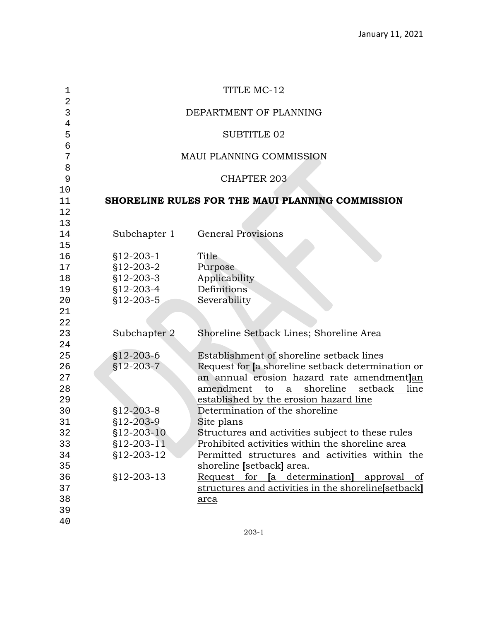| 1        |                 | TITLE MC-12                                            |
|----------|-----------------|--------------------------------------------------------|
| 2<br>3   |                 | DEPARTMENT OF PLANNING                                 |
| 4        |                 |                                                        |
| 5        |                 | <b>SUBTITLE 02</b>                                     |
| 6        |                 |                                                        |
| 7        |                 | <b>MAUI PLANNING COMMISSION</b>                        |
| 8        |                 |                                                        |
| 9        |                 | <b>CHAPTER 203</b>                                     |
| 10       |                 | SHORELINE RULES FOR THE MAUI PLANNING COMMISSION       |
| 11<br>12 |                 |                                                        |
| 13       |                 |                                                        |
| 14       | Subchapter 1    | <b>General Provisions</b>                              |
| 15       |                 |                                                        |
| 16       | $$12-203-1$     | Title                                                  |
| 17       | $$12-203-2$     | Purpose                                                |
| 18       | $$12-203-3$     | Applicability                                          |
| 19       | $$12-203-4$     | Definitions                                            |
| 20       | $$12-203-5$     | Severability                                           |
| 21       |                 |                                                        |
| 22       |                 |                                                        |
| 23       | Subchapter 2    | Shoreline Setback Lines; Shoreline Area                |
| 24       |                 |                                                        |
| 25       | $$12-203-6$     | Establishment of shoreline setback lines               |
| 26       | $$12-203-7$     | Request for [a shoreline setback determination or      |
| 27       |                 | an annual erosion hazard rate amendmentlan             |
| 28       |                 | a shoreline<br>setback<br>amendment to<br>line         |
| 29       |                 | established by the erosion hazard line                 |
| 30       | $$12 - 203 - 8$ | Determination of the shoreline                         |
| 31       | $$12-203-9$     | Site plans                                             |
| 32       | $$12-203-10$    | Structures and activities subject to these rules       |
| 33       | $$12-203-11$    | Prohibited activities within the shoreline area        |
| 34       | §12-203-12      | Permitted structures and activities within the         |
| 35       |                 | shoreline [setback] area.                              |
| 36       | §12-203-13      | Request for <b>[a</b> determination]<br>approval<br>of |
| 37       |                 | structures and activities in the shoreline[setback]    |
| 38       |                 | <u>area</u>                                            |
| 39       |                 |                                                        |
| 40       |                 |                                                        |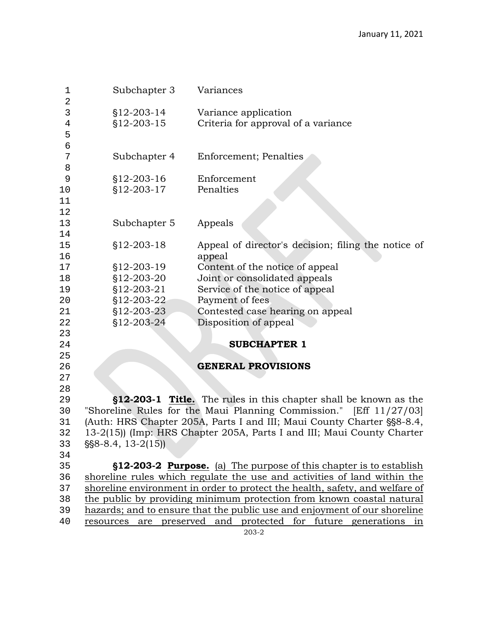| 1<br>$\mathbf 2$ | Subchapter 3                          | Variances                                                                    |
|------------------|---------------------------------------|------------------------------------------------------------------------------|
| 3                | §12-203-14                            | Variance application                                                         |
| $\overline{4}$   | §12-203-15                            | Criteria for approval of a variance                                          |
| 5                |                                       |                                                                              |
| 6                |                                       |                                                                              |
| 7                | Subchapter 4                          | <b>Enforcement</b> ; Penalties                                               |
| 8                |                                       |                                                                              |
| 9                | §12-203-16                            | Enforcement                                                                  |
| 10               | $$12-203-17$                          | Penalties                                                                    |
| 11               |                                       |                                                                              |
| 12               |                                       |                                                                              |
| 13               | Subchapter 5                          | Appeals                                                                      |
| 14               |                                       |                                                                              |
| 15               | $$12-203-18$                          | Appeal of director's decision; filing the notice of                          |
| 16               |                                       | appeal                                                                       |
| 17               | §12-203-19                            | Content of the notice of appeal                                              |
| 18               | §12-203-20                            | Joint or consolidated appeals                                                |
| 19               | §12-203-21                            | Service of the notice of appeal                                              |
| 20               | \$12-203-22                           | Payment of fees                                                              |
| 21               | $$12-203-23$                          | Contested case hearing on appeal                                             |
| 22               | §12-203-24                            | Disposition of appeal                                                        |
| 23               |                                       |                                                                              |
| 24               |                                       | <b>SUBCHAPTER 1</b>                                                          |
| 25               |                                       |                                                                              |
| 26               |                                       | <b>GENERAL PROVISIONS</b>                                                    |
| 27               |                                       |                                                                              |
| 28               |                                       |                                                                              |
| 29               |                                       | <b>§12-203-1 Title.</b> The rules in this chapter shall be known as the      |
| 30               |                                       | "Shoreline Rules for the Maui Planning Commission." [Eff 11/27/03]           |
| 31               |                                       | (Auth: HRS Chapter 205A, Parts I and III; Maui County Charter §§8-8.4,       |
| 32               |                                       | 13-2(15)) (Imp: HRS Chapter 205A, Parts I and III; Maui County Charter       |
| 33               | $\S$ \\$8-8.4, 13-2(15))              |                                                                              |
| 34               |                                       |                                                                              |
| 35               |                                       | <b>§12-203-2 Purpose.</b> (a) The purpose of this chapter is to establish    |
| 36               |                                       | shoreline rules which regulate the use and activities of land within the     |
| 37               |                                       | shoreline environment in order to protect the health, safety, and welfare of |
| 38               |                                       | the public by providing minimum protection from known coastal natural        |
| 39               |                                       | hazards; and to ensure that the public use and enjoyment of our shoreline    |
| 40               | resources are preserved and protected | for future generations<br>in                                                 |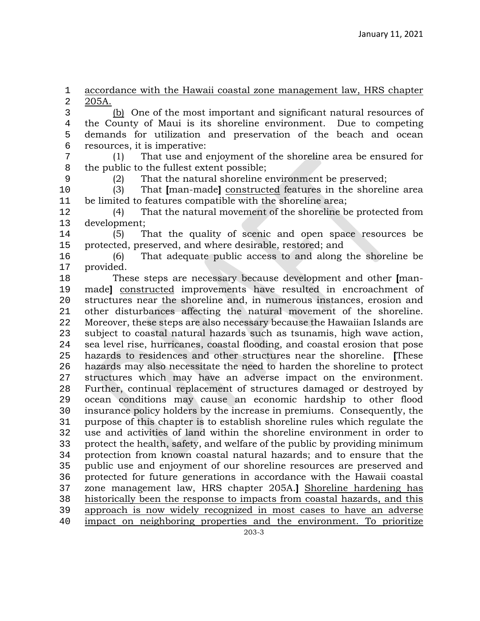1 accordance with the Hawaii coastal zone management law, HRS chapter<br>2 205A.

2 <u>205A.</u><br>3 3 (b) One of the most important and significant natural resources of<br>4 the County of Maui is its shoreline environment. Due to competing 4 the County of Maui is its shoreline environment. Due to competing<br>5 demands for utilization and preservation of the beach and ocean demands for utilization and preservation of the beach and ocean 6 resources, it is imperative:<br>7  $(1)$  That use and  $\epsilon$ 

7 (1) That use and enjoyment of the shoreline area be ensured for 8 the public to the fullest extent possible;<br>9 (2) That the natural shoreline  $\epsilon$ 

9 (2) That the natural shoreline environment be preserved;<br>10 (3) That [man-made] constructed features in the shoreling 10 (3) That **[**man-made**]** constructed features in the shoreline area 11 be limited to features compatible with the shoreline area;<br>12 (4) That the natural movement of the shoreline b

12 (4) That the natural movement of the shoreline be protected from 13 development;<br>14 (5) T

14 (5) That the quality of scenic and open space resources be 15 protected, preserved, and where desirable, restored; and<br>16 (6) That adequate public access to and along

16 (6) That adequate public access to and along the shoreline be 17 provided.<br>18 The

18 These steps are necessary because development and other **[**man-19 made] <u>constructed</u> improvements have resulted in encroachment of<br>20 structures near the shoreline and, in numerous instances, erosion and 20 structures near the shoreline and, in numerous instances, erosion and<br>21 other disturbances affecting the natural movement of the shoreline. 21 other disturbances affecting the natural movement of the shoreline.<br>22 Moreover, these steps are also necessary because the Hawaiian Islands are 22 Moreover, these steps are also necessary because the Hawaiian Islands are<br>23 Subject to coastal natural hazards such as tsunamis, high wave action. 23 subject to coastal natural hazards such as tsunamis, high wave action,<br>24 sea level rise, hurricanes, coastal flooding, and coastal erosion that pose 24 sea level rise, hurricanes, coastal flooding, and coastal erosion that pose<br>25 hazards to residences and other structures near the shoreline. These 25 hazards to residences and other structures near the shoreline. **[**These 26 hazards may also necessitate the need to harden the shoreline to protect 27 structures which may have an adverse impact on the environment. 27 structures which may have an adverse impact on the environment.<br>28 Further, continual replacement of structures damaged or destroved by 28 Further, continual replacement of structures damaged or destroyed by<br>29 ocean conditions may cause an economic hardship to other flood 29 ocean conditions may cause an economic hardship to other flood<br>20 insurance policy holders by the increase in premiums. Consequently, the 30 insurance policy holders by the increase in premiums. Consequently, the 31 purpose of this chapter is to establish shoreline rules which regulate the<br>32 use and activities of land within the shoreline environment in order to 32 use and activities of land within the shoreline environment in order to protect the health, safety, and welfare of the public by providing minimum 33 protect the health, safety, and welfare of the public by providing minimum 34 protection from known coastal natural hazards; and to ensure that the public use and enjoyment of our shoreline resources are preserved and public use and enjoyment of our shoreline resources are preserved and 36 protected for future generations in accordance with the Hawaii coastal<br>37 zone management law, HRS chapter 205A.] Shoreline hardening has 37 zone management law, HRS chapter 205A.**]** Shoreline hardening has 38 historically been the response to impacts from coastal hazards, and this<br>39 approach is now widely recognized in most cases to have an adverse 39 approach is now widely recognized in most cases to have an adverse<br>40 impact on neighboring properties and the environment. To prioritize impact on neighboring properties and the environment. To prioritize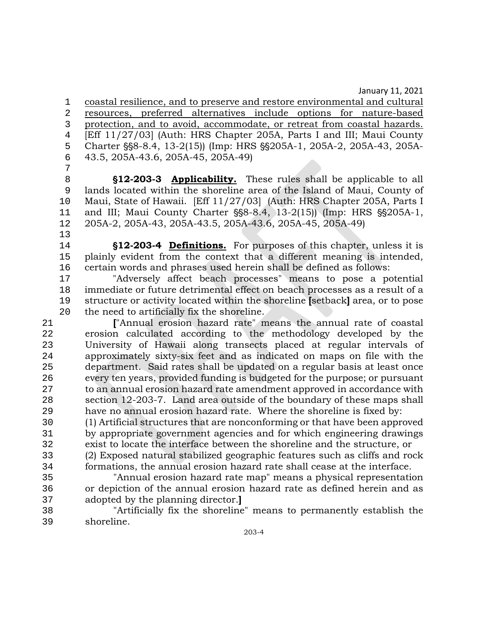1 coastal resilience, and to preserve and restore environmental and cultural 2 resources, preferred alternatives include options for nature-based 3 protection, and to avoid, accommodate, or retreat from coastal hazards.<br>4 Feff 11/27/031 (Auth: HRS Chapter 205A, Parts I and III: Maui County 4 [Eff 11/27/03] (Auth: HRS Chapter 205A, Parts I and III; Maui County<br>5 Charter §§8-8.4, 13-2(15)) (Imp: HRS §§205A-1, 205A-2, 205A-43, 205A-5 Charter §§8-8.4, 13-2(15)) (Imp: HRS §§205A-1, 205A-2, 205A-43, 205A-<br>6 43.5, 205A-43.6, 205A-45, 205A-49) 6 43.5, 205A-43.6, 205A-45, 205A-49)

7 8 **S12-203-3 Applicability.** These rules shall be applicable to all<br>9 lands located within the shoreline area of the Island of Maui, County of lands located within the shoreline area of the Island of Maui, County of 10 Maui, State of Hawaii. [Eff 11/27/03] (Auth: HRS Chapter 205A, Parts I<br>11 and III: Maui County Charter §§8-8.4, 13-2(15)) (Imp: HRS §§205A-1, 11 and III; Maui County Charter §§8-8.4, 13-2(15)) (Imp: HRS §§205A-1, <br>12 205A-2, 205A-43, 205A-43.5, 205A-43.6, 205A-45, 205A-49) 12 205A-2, 205A-43, 205A-43.5, 205A-43.6, 205A-45, 205A-49)

13<br>14

14 **\tightarrow \tightarrow \tightarrow \tightarrow \tightarrow \tightarrow \tightarrow \tightarrow \tightarrow \tightarrow \tightarrow \tightarrow \tightarrow \tightarrow \tightarrow \tightarrow \tightarrow \tightarrow \t** 15 plainly evident from the context that a different meaning is intended,<br>16 certain words and phrases used herein shall be defined as follows: 16 certain words and phrases used herein shall be defined as follows:<br>17 The affect beach processes" means to pose a po

17 "Adversely affect beach processes" means to pose a potential 18 immediate or future detrimental effect on beach processes as a result of a<br>19 structure or activity located within the shoreline [setback] area, or to pose 19 structure or activity located within the shoreline **[**setback**]** area, or to pose the need to artificially fix the shoreline.

21 **["Annual erosion hazard rate" means the annual rate of coastal<br>22 <b>Francial erosion calculated according to the methodology developed by the** erosion calculated according to the methodology developed by the 23 University of Hawaii along transects placed at regular intervals of 24 approximately sixty-six feet and as indicated on maps on file with the<br>25 department. Said rates shall be updated on a regular basis at least once department. Said rates shall be updated on a regular basis at least once 26 every ten years, provided funding is budgeted for the purpose; or pursuant 27 to an annual erosion hazard rate amendment approved in accordance with<br>28 section 12-203-7. Land area outside of the boundary of these maps shall 28 section 12-203-7. Land area outside of the boundary of these maps shall<br>29 have no annual erosion hazard rate. Where the shoreline is fixed by: 29 have no annual erosion hazard rate. Where the shoreline is fixed by:<br>20 (1) Artificial structures that are nonconforming or that have been appro

30 (1) Artificial structures that are nonconforming or that have been approved 31 by appropriate government agencies and for which engineering drawings<br>32 exist to locate the interface between the shoreline and the structure, or exist to locate the interface between the shoreline and the structure, or

33 (2) Exposed natural stabilized geographic features such as cliffs and rock formations, the annual erosion hazard rate shall cease at the interface.

35 "Annual erosion hazard rate map" means a physical representation 36 or depiction of the annual erosion hazard rate as defined herein and as adopted by the planning director. 37 adopted by the planning director.**]**

38 "Artificially fix the shoreline" means to permanently establish the shoreline.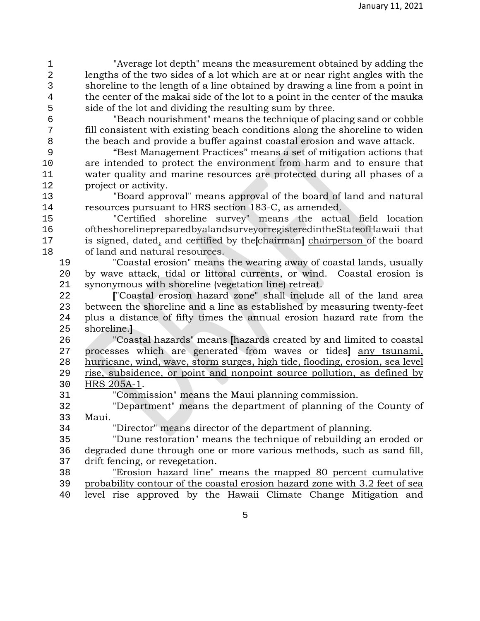1 "Average lot depth" means the measurement obtained by adding the 2 lengths of the two sides of a lot which are at or near right angles with the shoreline to the length of a line obtained by drawing a line from a point in 3 shoreline to the length of a line obtained by drawing a line from a point in<br>4 the center of the makai side of the lot to a point in the center of the mauka 4 the center of the makai side of the lot to a point in the center of the mauka<br>5 side of the lot and dividing the resulting sum by three. 5 side of the lot and dividing the resulting sum by three.<br>
6 TBeach nourishment" means the technique of place

6 "Beach nourishment" means the technique of placing sand or cobble fill consistent with existing beach conditions along the shoreline to widen<br>beach and provide a buffer against coastal erosion and wave attack. 8 the beach and provide a buffer against coastal erosion and wave attack.<br>9 "Best Management Practices" means a set of mitigation actions tha

9 "Best Management Practices" means a set of mitigation actions that 10 are intended to protect the environment from harm and to ensure that<br>11 water quality and marine resources are protected during all phases of a 11 water quality and marine resources are protected during all phases of a<br>12 oroject or activity. project or activity.

13 "Board approval" means approval of the board of land and natural 14 resources pursuant to HRS section 183-C, as amended.<br>15 Tertified shoreline survey" means the actual

15 "Certified shoreline survey" means the actual field location 16 oftheshorelinepreparedbyalandsurveyorregisteredintheStateofHawaii that<br>17 is signed, dated, and certified by the chairmanl chairperson of the board 17 is signed, dated, and certified by the**[**chairman**]** chairperson of the board of land and natural resources.<br>19 Toastal erosion" means

19 "Coastal erosion" means the wearing away of coastal lands, usually 20 by wave attack, tidal or littoral currents, or wind. Coastal erosion is synonymous with shoreline (vegetation line) retreat. 21 synonymous with shoreline (vegetation line) retreat.<br>22 **F** Coastal erosion hazard zone" shall include

<sup>22</sup> ["Coastal erosion hazard zone" shall include all of the land area<br><sup>23</sup> between the shoreline and a line as established by measuring twenty-feet 23 between the shoreline and a line as established by measuring twenty-feet<br>24 plus a distance of fifty times the annual erosion hazard rate from the 24 plus a distance of fifty times the annual erosion hazard rate from the shoreline. shoreline.**l** 

26 "Coastal hazards" means **[**hazards created by and limited to coastal 27 processes which are generated from waves or tides**]** any tsunami, 28 hurricane, wind, wave, storm surges, high tide, flooding, erosion, sea level<br>29 rise, subsidence, or point and nonpoint source pollution, as defined by 29 rise, subsidence, or point and nonpoint source pollution, as defined by<br>30 HRS 205A-1. 30 HRS 205A-1.<br>31 "Comm

31 "Commission" means the Maui planning commission.<br>32 "Department" means the department of planning of t

32 "Department" means the department of planning of the County of 33 Maui.

34 "Director" means director of the department of planning.<br>35 "Dune restoration" means the technique of rebuilding an

35 "Dune restoration" means the technique of rebuilding an eroded or 36 degraded dune through one or more various methods, such as sand fill,<br>37 drift fencing, or revegetation.

37 drift fencing, or revegetation.<br>38 Terosion hazard line" "Erosion hazard line" means the mapped 80 percent cumulative probability contour of the coastal erosion hazard zone with 3.2 feet of sea level rise approved by the Hawaii Climate Change Mitigation and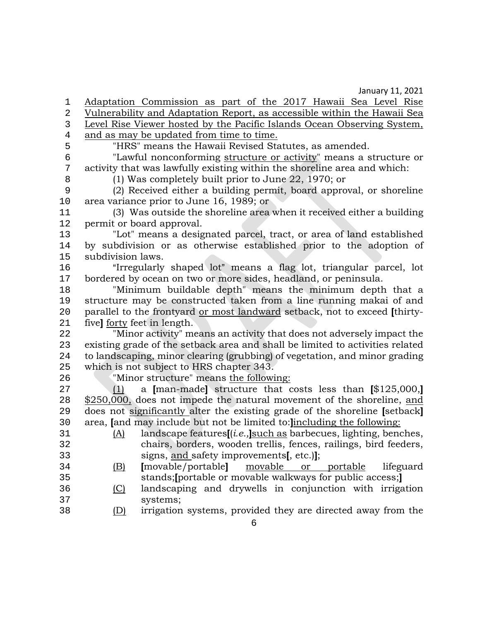1 Adaptation Commission as part of the 2017 Hawaii Sea Level Rise<br>2 Vulnerability and Adaptation Report, as accessible within the Hawaii Sea 2 Vulnerability and Adaptation Report, as accessible within the Hawaii Sea<br>2 Level Rise Viewer hosted by the Pacific Islands Ocean Observing System. 3 Level Rise Viewer hosted by the Pacific Islands Ocean Observing System,<br>4 and as may be updated from time to time. and as may be updated from time to time.<br>5 THRS" means the Hawaii Revised Sta

5 "HRS" means the Hawaii Revised Statutes, as amended.<br>6 "Lawful nonconforming structure or activity" means a s

<sup>6</sup> "Lawful nonconforming <u>structure or activity</u>" means a structure or<br>7 activity that was lawfully existing within the shoreline area and which: 7 activity that was lawfully existing within the shoreline area and which:<br>8 (1) Was completely built prior to June 22, 1970; or

8 (1) Was completely built prior to June 22, 1970; or 9 (2) Received either a building permit, board approval, or shoreline 10 area variance prior to June 16, 1989; or<br>11 (3) Was outside the shoreline area

11 (3) Was outside the shoreline area when it received either a building 12 permit or board approval.<br>13 Tot" means a design

13 "Lot" means a designated parcel, tract, or area of land established 14 by subdivision or as otherwise established prior to the adoption of subdivision laws. 15 subdivision laws.<br>16 "Irregularly

16 "Irregularly shaped lot" means a flag lot, triangular parcel, lot<br>17 bordered by ocean on two or more sides, headland, or peninsula. 17 bordered by ocean on two or more sides, headland, or peninsula.<br>18 Thinimum buildable depth means the minimum depth

18 "Minimum buildable depth" means the minimum depth that a<br>19 structure may be constructed taken from a line running makai of and 19 structure may be constructed taken from a line running makai of and<br>20 parallel to the frontvard or most landward setback, not to exceed Ithirty-20 parallel to the frontyard or most landward setback, not to exceed **[**thirty-21 five**]** <u>forty</u> feet in length.<br>22 Thinor activity "me

22 "Minor activity" means an activity that does not adversely impact the 23 existing grade of the setback area and shall be limited to activities related<br>24 to landscaping, minor clearing (grubbing) of vegetation, and minor grading 24 to landscaping, minor clearing (grubbing) of vegetation, and minor grading<br>25 which is not subject to HRS chapter 343. 25 which is not subject to HRS chapter 343.<br>26 Thinor structure means the followi

26 "Minor structure" means <u>the following:</u><br>27 (1) a Iman-madel structure that c 27 (1) a **[**man-made**]** structure that costs less than **[**\$125,000,**]**   $28 \frac{\$250,000}{\$250,000}$ , does not impede the natural movement of the shoreline, and  $29$  does not significantly alter the existing grade of the shoreline Isetbackl 29 does not significantly alter the existing grade of the shoreline **[**setback**]** 30 area, **[**and may include but not be limited to:**]**including the following:

- 31 (A) landscape features**[**(*i.e.,***]**such as barbecues, lighting, benches, 32 chairs, borders, wooden trellis, fences, railings, bird feeders,<br>33 signs, and safety improvements[.etc.]]:
- 33 signs, and safety improvements**[**, etc.)**]**; movable or portable lifeguard 35 stands;**[**portable or movable walkways for public access;**]**
- 36 (C) landscaping and drywells in conjunction with irrigation 37 systems;<br>38 (D) irrigation
	- irrigation systems, provided they are directed away from the

6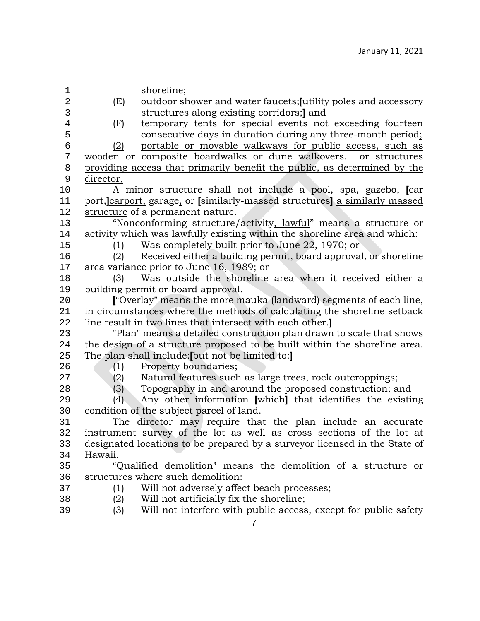7 1 shoreline; 2 (E) outdoor shower and water faucets; [utility poles and accessory<br>3 structures along existing corridors; ] and 3 structures along existing corridors;**]** and 4 (F) temporary tents for special events not exceeding fourteen<br>5 consecutive days in duration during any three-month period: 5 consecutive days in duration during any three-month period; 6 (2) portable or movable walkways for public access, such as 7 wooden or composite boardwalks or dune walkovers. or structures<br>8 providing access that primarily benefit the public, as determined by the 8 providing access that primarily benefit the public, as determined by the director. 9  $\frac{\text{directory}}{A}$ 10 A minor structure shall not include a pool, spa, gazebo, **[**car 11 port,**]**carport, garage, or **[**similarly-massed structures**]** a similarly massed 12 structure of a permanent nature.<br>13 "Nonconforming structure 13 The "Nonconforming structure/activity, lawful" means a structure or<br>14 activity which was lawfully existing within the shoreline area and which: 14 activity which was lawfully existing within the shoreline area and which:<br>15 (1) Was completely built prior to June 22, 1970; or 15 (1) Was completely built prior to June 22, 1970; or<br>16 (2) Received either a building permit, board approval 16 (2) Received either a building permit, board approval, or shoreline<br>17 area variance prior to June 16, 1989; or 17 area variance prior to June 16, 1989; or<br>18 (3) Was outside the shoreline 18 (3) Was outside the shoreline area when it received either a 19 building permit or board approval.<br>20 **F** Overlay" means the more m 20 **[**"Overlay" means the more mauka (landward) segments of each line,<br>21 in circumstances where the methods of calculating the shoreline setback 21 in circumstances where the methods of calculating the shoreline setback<br>22 line result in two lines that intersect with each other. 22 line result in two lines that intersect with each other.**]** 23 "Plan" means a detailed construction plan drawn to scale that shows 24 the design of a structure proposed to be built within the shoreline area.<br>25 The plan shall include: I but not be limited to: I 25 The plan shall include:**[**but not be limited to:**]** 26 (1) Property boundaries;<br>27 (2) Natural features such 27 (2) Natural features such as large trees, rock outcroppings;<br>28 (3) Topography in and around the proposed construction; and Topography in and around the proposed construction; and 29 (4) Any other information **[**which**]** that identifies the existing 30 condition of the subject parcel of land.<br>31 The director may require that 31 The director may require that the plan include an accurate<br>32 instrument survey of the lot as well as cross sections of the lot at 32 instrument survey of the lot as well as cross sections of the lot at 33 designated locations to be prepared by a surveyor licensed in the State of 34 Hawaii.<br>35 "C "Qualified demolition" means the demolition of a structure or 36 structures where such demolition:<br>37 (1) Will not adversely affect (1) Will not adversely affect beach processes; 38 (2) Will not artificially fix the shoreline;<br>39 (3) Will not interfere with public access Will not interfere with public access, except for public safety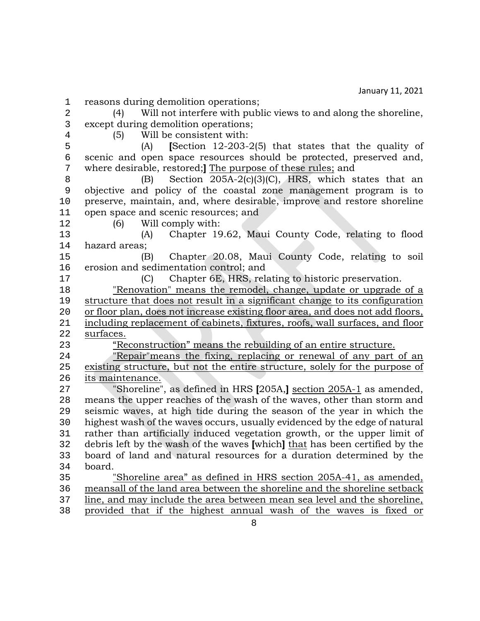- 1 reasons during demolition operations;<br>2 (4) Will not interfere with pub.
- 2 (4) Will not interfere with public views to and along the shoreline,<br>3 except during demolition operations: 3 except during demolition operations;<br>4 (5) Will be consistent with:
- 

4 (5) Will be consistent with:<br>5 (A) **ISection 12-203-**5 (A) **[**Section 12-203-2(5) that states that the quality of 6 scenic and open space resources should be protected, preserved and,<br>7 where desirable, restored: The purpose of these rules: and 7 where desirable, restored;**]** The purpose of these rules; and<br>8 (B) Section 205A-2(c)(3)(C), HRS, which s

8 (B) Section 205A-2(c)(3)(C), HRS, which states that an objective and policy of the coastal zone management program is to 9 objective and policy of the coastal zone management program is to 10 preserve, maintain, and, where desirable, improve and restore shoreline<br>11 open space and scenic resources: and 11 open space and scenic resources; and<br>12 (6) Will comply with:

12 (6) Will comply with:<br>13 (A) Chapter 19 13 (A) Chapter 19.62, Maui County Code, relating to flood 14 hazard areas;<br>15 (B)

15 (B) Chapter 20.08, Maui County Code, relating to soil 16 erosion and sedimentation control; and<br>17 (C) Chapter 6E, HRS, rel

17 (C) Chapter 6E, HRS, relating to historic preservation.<br>18 Tenovation" means the remodel. change. update or upgrade

18 The Theorem is the remodel, change, update or upgrade of a<br>19 structure that does not result in a significant change to its configuration 19 structure that does not result in a significant change to its configuration<br>20 or floor plan, does not increase existing floor area, and does not add floors. 20 or floor plan, does not increase existing floor area, and does not add floors,<br>21 including replacement of cabinets, fixtures, roofs, wall surfaces, and floor 21 including replacement of cabinets, fixtures, roofs, wall surfaces, and floor surfaces. 22 <u>surfaces.</u><br>23 "Re

<sup>23</sup> "Reconstruction" means the rebuilding of an entire structure.<br><sup>24</sup> "Repair" means the fixing, replacing or renewal of any part

<sup>24</sup> "Repair" means the fixing, replacing or renewal of any part of an<br>25 existing structure, but not the entire structure, solely for the purpose of existing structure, but not the entire structure, solely for the purpose of 26 <u>its maintenance.</u><br>27 Shoreline"

 "Shoreline", as defined in HRS **[**205A,**]** section 205A-1 as amended, 28 means the upper reaches of the wash of the waves, other than storm and<br>29 seismic waves, at high tide during the season of the vear in which the 29 seismic waves, at high tide during the season of the year in which the 30 highest wash of the waves occurs, usually evidenced by the edge of natural highest wash of the waves occurs, usually evidenced by the edge of natural rather than artificially induced vegetation growth, or the upper limit of debris left by the wash of the waves **[**which**]** that has been certified by the board of land and natural resources for a duration determined by the 34 board.<br>35 "

35 "Shoreline area" as defined in HRS section 205A-41, as amended, 36 meansall of the land area between the shoreline and the shoreline setback<br>37 line, and may include the area between mean sea level and the shoreline, 37 line, and may include the area between mean sea level and the shoreline,<br>38 provided that if the highest annual wash of the waves is fixed or 38 provided that if the highest annual wash of the waves is fixed or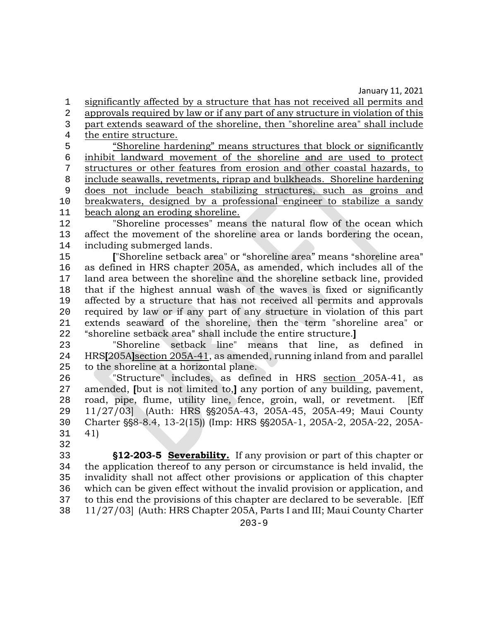1 significantly affected by a structure that has not received all permits and<br>2 approvals required by law or if any part of any structure in violation of this 2 approvals required by law or if any part of any structure in violation of this<br>3 part extends seaward of the shoreline, then "shoreline area" shall include 3 part extends seaward of the shoreline, then "shoreline area" shall include<br>4 the entire structure.

4 the entire structure.<br>5 "Shoreline har 5 "Shoreline hardening" means structures that block or significantly<br>6 inhibit landward movement of the shoreline and are used to protect <sup>6</sup> inhibit landward movement of the shoreline and are used to protect<br><sup>7</sup> structures or other features from erosion and other coastal hazards, to structures or other features from erosion and other coastal hazards, to 8 include seawalls, revetments, riprap and bulkheads. Shoreline hardening<br>9 does not include beach stabilizing structures, such as groins and 9 does not include beach stabilizing structures, such as groins and 10 breakwaters, designed by a professional engineer to stabilize a sandy<br>11 beach along an eroding shoreline. 11 beach along an eroding shoreline.<br>12 Thoreline processes" mean

12 "Shoreline processes" means the natural flow of the ocean which<br>13 affect the movement of the shoreline area or lands bordering the ocean. 13 affect the movement of the shoreline area or lands bordering the ocean,<br>14 including submerged lands. 14 including submerged lands.<br>15 **F** Shoreline setback are

<sup>15</sup> ["Shoreline setback area" or "shoreline area" means "shoreline area"<br>16 as defined in HRS chapter 205A, as amended, which includes all of the 16 as defined in HRS chapter 205A, as amended, which includes all of the 17 land area between the shoreline and the shoreline setback line, provided 17 land area between the shoreline and the shoreline setback line, provided 18 that if the highest annual wash of the waves is fixed or significantly<br>19 affected by a structure that has not received all permits and approvals 19 affected by a structure that has not received all permits and approvals<br>20 required by law or if any part of any structure in violation of this part 20 required by law or if any part of any structure in violation of this part 21 extends seaward of the shoreline, then the term "shoreline area" or<br>22 "shoreline setback area" shall include the entire structure. <sup>22</sup> "shoreline setback area" shall include the entire structure.<br><sup>23</sup> Shoreline setback line" means that line, as

23 "Shoreline setback line" means that line, as defined in 24 HRS**[**205A**]**section 205A-41, as amended, running inland from and parallel to the shoreline at a horizontal plane.

26 "Structure" includes, as defined in HRS section 205A-41, as<br>27 amended. Ibut is not limited to. I any portion of any building, pavement. 27 amended, **[**but is not limited to,**]** any portion of any building, pavement, 28 road, pipe, flume, utility line, fence, groin, wall, or revetment.<br>29 11/27/031 (Auth: HRS §§205A-43, 205A-45, 205A-49: Maui Co 29 11/27/03 (Auth: HRS \$ \$205 A - 43, 205 A - 45, 205 A - 49; Maui County<br>20 Charter \$ \$ 8 - 8 .4, 13 - 2(15) (Imp: HRS \$ \$ 205 A - 1, 205 A - 2, 205 A - 22, 205 A -30 Charter §§8-8.4, 13-2(15)) (Imp: HRS §§205A-1, 205A-2, 205A-22, 205A-<br>31 41) 41)

32<br>33 **512-203-5 Severability.** If any provision or part of this chapter or the application thereof to any person or circumstance is held invalid, the the application thereof to any person or circumstance is held invalid, the 35 invalidity shall not affect other provisions or application of this chapter 36 which can be given effect without the invalid provision or application, and<br>37 to this end the provisions of this chapter are declared to be severable. [Eff 37 to this end the provisions of this chapter are declared to be severable. [Eff<br>38 11/27/03] (Auth: HRS Chapter 205A, Parts I and III: Maui County Charter 38 11/27/03] (Auth: HRS Chapter 205A, Parts I and III; Maui County Charter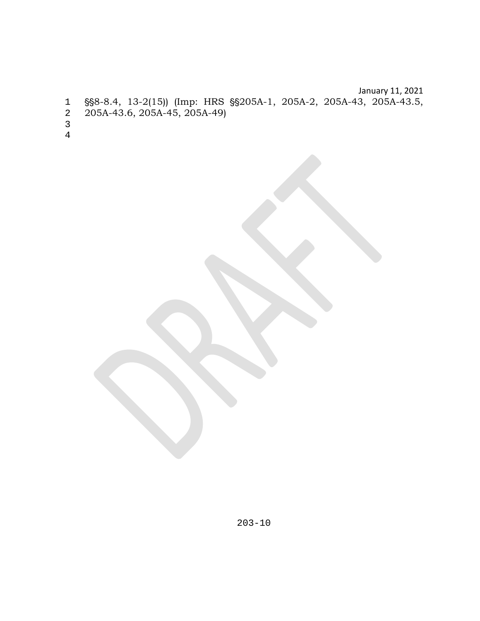January 11, 2021 ''8-8.4, 13-2(15)) (Imp: HRS ''205A-1, 205A-2, 205A-43, 205A-43.5, 205A-43.6, 205A-45, 205A-49)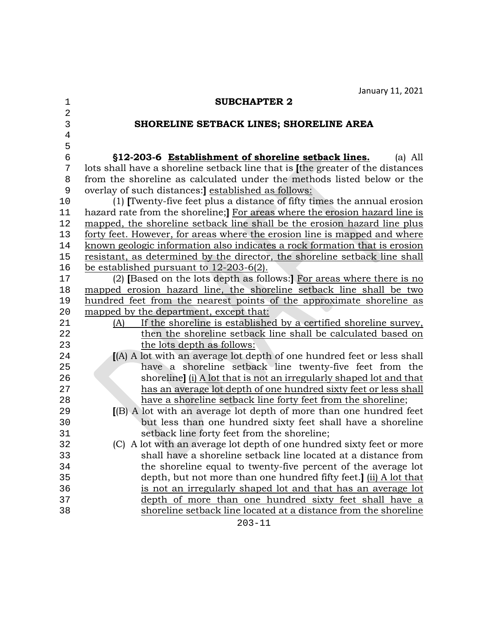| 1              | <b>SUBCHAPTER 2</b>                                                              |
|----------------|----------------------------------------------------------------------------------|
| $\overline{2}$ |                                                                                  |
| 3              | SHORELINE SETBACK LINES; SHORELINE AREA                                          |
| $\,4$          |                                                                                  |
| 5              |                                                                                  |
| $\epsilon$     | §12-203-6 Establishment of shoreline setback lines.<br>$(a)$ All                 |
| 7              | lots shall have a shoreline setback line that is [the greater of the distances   |
| 8              | from the shoreline as calculated under the methods listed below or the           |
| 9              | overlay of such distances: established as follows:                               |
| 10             | (1) [Twenty-five feet plus a distance of fifty times the annual erosion          |
| 11             | hazard rate from the shoreline; For areas where the erosion hazard line is       |
| 12             | mapped, the shoreline setback line shall be the erosion hazard line plus         |
| 13             | <u>forty feet. However, for areas where the erosion line is mapped and where</u> |
| 14             | known geologic information also indicates a rock formation that is erosion       |
| $15$           | resistant, as determined by the director, the shoreline setback line shall       |
| 16             | be established pursuant to $12-203-6(2)$ .                                       |
| 17             | (2) [Based on the lots depth as follows:] For areas where there is no            |
| $18$           | mapped erosion hazard line, the shoreline setback line shall be two              |
| 19             | hundred feet from the nearest points of the approximate shoreline as             |
| 20             | mapped by the department, except that:                                           |
| 21             | If the shoreline is established by a certified shoreline survey,<br>(A)          |
| 22             | then the shoreline setback line shall be calculated based on                     |
| 23             | the lots depth as follows:                                                       |
| 24             | [(A) A lot with an average lot depth of one hundred feet or less shall           |
| 25             | have a shoreline setback line twenty-five feet from the                          |
| 26             | shoreline] (i) A lot that is not an irregularly shaped lot and that              |
| 27             | has an average lot depth of one hundred sixty feet or less shall                 |
| 28             | have a shoreline setback line forty feet from the shoreline;                     |
| 29             | [(B) A lot with an average lot depth of more than one hundred feet               |
| 30             | but less than one hundred sixty feet shall have a shoreline                      |
| 31             | setback line forty feet from the shoreline;                                      |
| 32             | (C) A lot with an average lot depth of one hundred sixty feet or more            |
| 33             | shall have a shoreline setback line located at a distance from                   |
| 34             | the shoreline equal to twenty-five percent of the average lot                    |
| 35             | depth, but not more than one hundred fifty feet.] (ii) A lot that                |
| 36             | is not an irregularly shaped lot and that has an average lot                     |
| 37             | depth of more than one hundred sixty feet shall have a                           |
| 38             | shoreline setback line located at a distance from the shoreline                  |
|                | $203 - 11$                                                                       |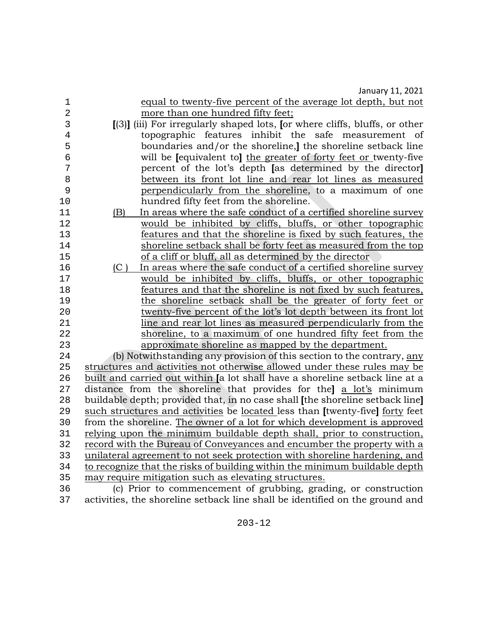|                | Jaliual y II, ZUZI                                                            |
|----------------|-------------------------------------------------------------------------------|
| 1              | equal to twenty-five percent of the average lot depth, but not                |
| $\overline{a}$ | more than one hundred fifty feet;                                             |
| 3              | [(3)] (iii) For irregularly shaped lots, for where cliffs, bluffs, or other   |
| $\overline{4}$ | topographic features inhibit the safe measurement of                          |
| 5              | boundaries and/or the shoreline, the shoreline setback line                   |
| $\epsilon$     | will be lequivalent to the greater of forty feet or twenty-five               |
| 7              | percent of the lot's depth [as determined by the director]                    |
| 8              | between its front lot line and rear lot lines as measured                     |
| 9              | perpendicularly from the shoreline, to a maximum of one                       |
| 10             | hundred fifty feet from the shoreline.                                        |
| 11             | In areas where the safe conduct of a certified shoreline survey<br>(B)        |
| 12             | would be inhibited by cliffs, bluffs, or other topographic                    |
| 13             | features and that the shoreline is fixed by such features, the                |
| 14             | shoreline setback shall be forty feet as measured from the top                |
| 15             | of a cliff or bluff, all as determined by the director                        |
| 16             | In areas where the safe conduct of a certified shoreline survey<br>(C)        |
| 17             | would be inhibited by cliffs, bluffs, or other topographic                    |
| 18             | features and that the shoreline is not fixed by such features,                |
| 19             | the shoreline setback shall be the greater of forty feet or                   |
| 20             | twenty-five percent of the lot's lot depth between its front lot              |
| 21             | line and rear lot lines as measured perpendicularly from the                  |
| 22             | shoreline, to a maximum of one hundred fifty feet from the                    |
| 23             | approximate shoreline as mapped by the department.                            |
| 24             | (b) Notwithstanding any provision of this section to the contrary, any        |
| 25             | structures and activities not otherwise allowed under these rules may be      |
| 26             | built and carried out within [a lot shall have a shoreline setback line at a  |
| 27             | distance from the shoreline that provides for the a lot's minimum             |
| 28             | buildable depth; provided that, in no case shall [the shoreline setback line] |
| 29             | such structures and activities be located less than [twenty-five] forty feet  |
| 30             | from the shoreline. The owner of a lot for which development is approved      |
| 31             | relying upon the minimum buildable depth shall, prior to construction,        |
| 32             | record with the Bureau of Conveyances and encumber the property with a        |
| 33             | unilateral agreement to not seek protection with shoreline hardening, and     |
| 34             | to recognize that the risks of building within the minimum buildable depth    |
| 35             | may require mitigation such as elevating structures.                          |
| 36             | (c) Prior to commencement of grubbing, grading, or construction               |
| 37             | activities, the shoreline setback line shall be identified on the ground and  |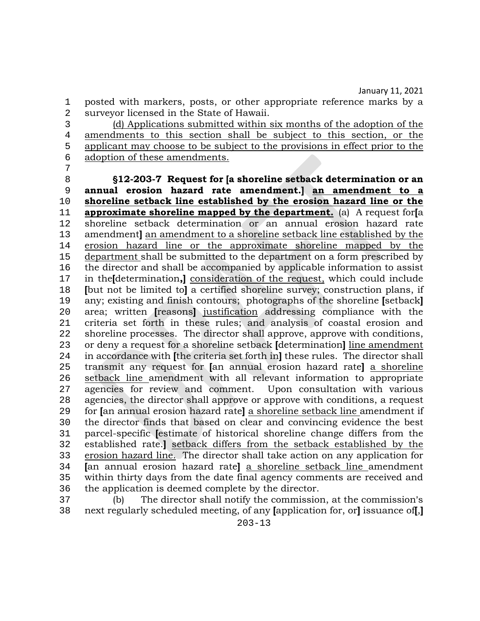1 posted with markers, posts, or other appropriate reference marks by a<br>2 survevor licensed in the State of Hawaii. 2 surveyor licensed in the State of Hawaii.<br>3 (d) Applications submitted within

3 (d) Applications submitted within six months of the adoption of the amendments to this section shall be subject to this section, or the 4 amendments to this section shall be subject to this section, or the applicant may choose to be subject to the provisions in effect prior to the 5 applicant may choose to be subject to the provisions in effect prior to the adoption of these amendments. adoption of these amendments.

7 8 '**12-203-7 Request for [a shoreline setback determination or an**  9 **annual erosion hazard rate amendment.] an amendment to a**  10 **shoreline setback line established by the erosion hazard line or the**  11 **approximate shoreline mapped by the department.** (a) A request for**[**a 12 shoreline setback determination or an annual erosion hazard rate<br>13 amendmentlan amendment to a shoreline setback line established by the 13 amendment**]** an amendment to a shoreline setback line established by the erosion hazard line or the approximate shoreline mapped by the 14 erosion hazard line or the approximate shoreline mapped by the department shall be submitted to the department on a form prescribed by 15 department shall be submitted to the department on a form prescribed by<br>16 the director and shall be accompanied by applicable information to assist 16 the director and shall be accompanied by applicable information to assist<br>17 in the Idetermination. I consideration of the request, which could include 17 in the**[**determination**,]** consideration of the request, which could include 18 **[**but not be limited to**]** a certified shoreline survey; construction plans, if 19 any; existing and finish contours; photographs of the shoreline **[**setback**]** 20 area; written **[**reasons**]** justification addressing compliance with the 21 criteria set forth in these rules; and analysis of coastal erosion and <br>22 shoreline processes. The director shall approve, approve with conditions. 22 shoreline processes. The director shall approve, approve with conditions,<br>23 or deny a request for a shoreline setback [determination] line amendment 23 or deny a request for a shoreline setback **[**determination**]** line amendment 24 in accordance with **[**the criteria set forth in**]** these rules. The director shall 25 transmit any request for **[**an annual erosion hazard rate**]** a shoreline 26 setback line amendment with all relevant information to appropriate<br>27 agencies for review and comment. Upon consultation with various 27 agencies for review and comment.<br>28 agencies, the director shall approve or 28 agencies, the director shall approve or approve with conditions, a request<br>29 for lan annual erosion hazard ratel a shoreline setback line amendment if 29 for **[**an annual erosion hazard rate**]** a shoreline setback line amendment if 30 the director finds that based on clear and convincing evidence the best<br>31 parcel-specific lestimate of historical shoreline change differs from the 31 parcel-specific **[**estimate of historical shoreline change differs from the 32 established rate.**]** setback differs from the setback established by the 33 erosion hazard line. The director shall take action on any application for<br>34 **Janualie and any constant on the se** shoreline setback line amendment 34 **[**an annual erosion hazard rate**]** a shoreline setback line amendment 35 within thirty days from the date final agency comments are received and the application is deemed complete by the director. 36 the application is deemed complete by the director.<br>37 (b) The director shall notify the commission

37 (b) The director shall notify the commission, at the commission's<br>38 next regularly scheduled meeting, of any lapplication for, orl issuance of J. 38 next regularly scheduled meeting, of any **[**application for, or**]** issuance of**[**,**]**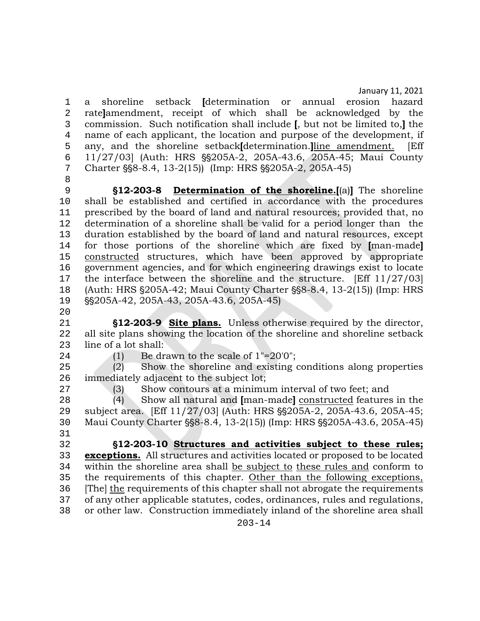1 a shoreline setback **[**determination or annual erosion hazard 2 rate**]**amendment, receipt of which shall be acknowledged by the 3 commission. Such notification shall include **[**, but not be limited to,**]** the 4 name of each applicant, the location and purpose of the development, if<br>5 any, and the shoreline setbackIdetermination.lline amendment. [Eff 5 any, and the shoreline setback**[**determination.<u>]line amendment.</u><br>6 11/27/03 (Auth: HRS §§205A-2, 205A-43.6, 205A-45: Maui Co 6 11/27/03] (Auth: HRS §§205A-2, 205A-43.6, 205A-45; Maui County<br>7 Charter §§8-8.4, 13-2(15)) (Imp: HRS §§205A-2, 205A-45) Charter §§8-8.4, 13-2(15)) (Imp: HRS §§205A-2, 205A-45)

8<br>9 **§12-203-8 Determination of the shoreline.**[(a)] The shoreline 10 shall be established and certified in accordance with the procedures<br>11 prescribed by the board of land and natural resources: provided that, no 11 prescribed by the board of land and natural resources; provided that, no<br>12 determination of a shoreline shall be valid for a period longer than the 12 determination of a shoreline shall be valid for a period longer than the<br>13 duration established by the board of land and natural resources, except 13 duration established by the board of land and natural resources, except 14 for those portions of the shoreline which are fixed by Iman-madel 14 for those portions of the shoreline which are fixed by **[**man-made**]**  15 constructed structures, which have been approved by appropriate<br>16 government agencies, and for which engineering drawings exist to locate 16 government agencies, and for which engineering drawings exist to locate<br>17 the interface between the shoreline and the structure. [Eff 11/27/03] 17 the interface between the shoreline and the structure. [Eff 11/27/03]<br>18 (Auth: HRS §205A-42: Maui County Charter §§8-8.4, 13-2(15)) (Imp: HRS 18 (Auth: HRS §205A-42; Maui County Charter §§8-8.4, 13-2(15)) (Imp: HRS<br>19 §§205A-42, 205A-43, 205A-43.6, 205A-45) SS205A-42, 205A-43, 205A-43.6, 205A-45)

 $\frac{20}{21}$ 

21 **S12-203-9 Site plans.** Unless otherwise required by the director,<br>22 all site plans showing the location of the shoreline and shoreline setback 22 all site plans showing the location of the shoreline and shoreline setback<br>23 line of a lot shall: 23 line of a lot shall:<br>24 (1) Be dr

24 (1) Be drawn to the scale of  $1" = 20'0"$ ;<br>25 (2) Show the shoreline and existing of Show the shoreline and existing conditions along properties 26 immediately adjacent to the subject lot;<br>27 (3) Show contours at a minimu

27 (3) Show contours at a minimum interval of two feet; and<br>28 (4) Show all natural and Iman-madel constructed features 28 (4) Show all natural and **[**man-made**]** constructed features in the 29 subject area. [Eff 11/27/03] (Auth: HRS \$\$205A-2, 205A-43.6, 205A-45;<br>20 Maui County Charter \$\$8-8.4, 13-2(15)) (Imp: HRS \$\$205A-43.6, 205A-45) Maui County Charter \\$88-8.4, 13-2(15)) (Imp: HRS \\$\$205A-43.6, 205A-45) 31<br>32

32 '**12-203-10 Structures and activities subject to these rules; exceptions.** All structures and activities located or proposed to be located within the shoreline area shall be subject to these rules and conform to within the shoreline area shall be subject to these rules and conform to 35 the requirements of this chapter. <u>Other than the following exceptions,</u><br>36 Thel the requirements of this chapter shall not abrogate the requirements 36 [The] the requirements of this chapter shall not abrogate the requirements of any other applicable statutes, codes, ordinances, rules and regulations, 37 of any other applicable statutes, codes, ordinances, rules and regulations,<br>38 or other law. Construction immediately inland of the shoreline area shall or other law. Construction immediately inland of the shoreline area shall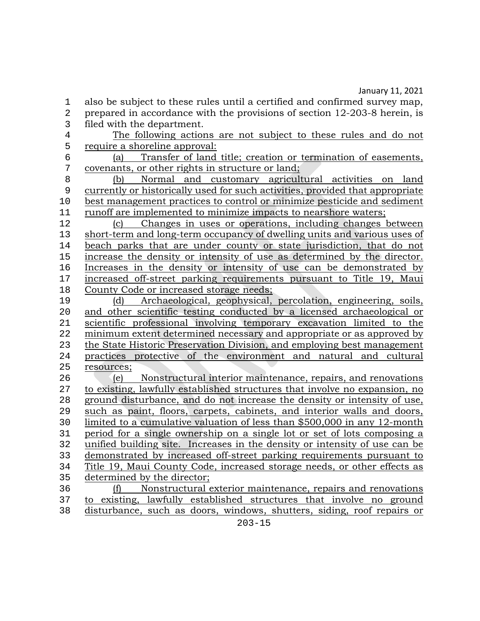1 also be subject to these rules until a certified and confirmed survey map,<br>2 prepared in accordance with the provisions of section 12-203-8 herein, is 2 prepared in accordance with the provisions of section 12-203-8 herein, is filed with the department.

3 filed with the department.<br>4 The following action

4 The following actions are not subject to these rules and do not require a shoreline approval: 5 require a shoreline approval:<br>6 (a) Transfer of land

6 (a) Transfer of land title; creation or termination of easements,<br>7 covenants, or other rights in structure or land; 7 covenants, or other rights in structure or land;<br>8 (b) Normal and customary agricult

8 (b) Normal and customary agricultural activities on land<br>9 currently or historically used for such activities, provided that appropriate 9 currently or historically used for such activities, provided that appropriate 10 best management practices to control or minimize pesticide and sediment<br>11 runoff are implemented to minimize impacts to nearshore waters: 11 runoff are implemented to minimize impacts to nearshore waters;<br>12 (c) Changes in uses or operations, including changes b

12 (c) Changes in uses or operations, including changes between<br>13 short-term and long-term occupancy of dwelling units and various uses of 13 short-term and long-term occupancy of dwelling units and various uses of beach parks that are under county or state jurisdiction, that do not 14 beach parks that are under county or state jurisdiction, that do not increase the density or intensity of use as determined by the director. 15 <u>increase the density or intensity of use as determined by the director.</u><br>16 Increases in the density or intensity of use can be demonstrated by 16 Increases in the density or intensity of use can be demonstrated by<br>17 increased off-street parking requirements pursuant to Title 19. Maui 17 <u>increased off-street parking requirements pursuant to Title 19, Maui</u><br>18 County Code or increased storage needs: 18 County Code or increased storage needs;<br>19 (d) Archaeological, geophysical,

19 (d) Archaeological, geophysical, percolation, engineering, soils,<br>20 and other scientific testing conducted by a licensed archaeological or 20 and other scientific testing conducted by a licensed archaeological or scientific professional involving temporary excavation limited to the 21 scientific professional involving temporary excavation limited to the minimum extent determined necessary and appropriate or as approved by 22 minimum extent determined necessary and appropriate or as approved by<br>23 the State Historic Preservation Division, and employing best management the State Historic Preservation Division, and employing best management 24 <u>practices protective of the environment and natural and cultural</u><br>25 resources: resources;

26 (e) Nonstructural interior maintenance, repairs, and renovations<br>27 to existing, lawfully established structures that involve no expansion, no 27 to existing, lawfully established structures that involve no expansion, no<br>28 ground disturbance, and do not increase the density or intensity of use, 28 ground disturbance, and do not increase the density or intensity of use,<br>29 such as paint, floors, carpets, cabinets, and interior walls and doors, 29 such as paint, floors, carpets, cabinets, and interior walls and doors,<br>20 limited to a cumulative valuation of less than \$500,000 in any 12-month 30 limited to a cumulative valuation of less than \$500,000 in any 12-month<br>31 period for a single ownership on a single lot or set of lots composing a 31 period for a single ownership on a single lot or set of lots composing a<br>32 unified building site. Increases in the density or intensity of use can be 32 unified building site. Increases in the density or intensity of use can be<br>33 demonstrated by increased off-street parking requirements pursuant to 33 demonstrated by increased off-street parking requirements pursuant to<br>34 Title 19, Maui County Code, increased storage needs, or other effects as Title 19, Maui County Code, increased storage needs, or other effects as 35 determined by the director;<br>36 (f) Nonstructural of

36 (f) Nonstructural exterior maintenance, repairs and renovations<br>37 to existing, lawfully established structures that involve no ground 37 to existing, lawfully established structures that involve no ground<br>38 disturbance, such as doors, windows, shutters, siding, roof repairs or disturbance, such as doors, windows, shutters, siding, roof repairs or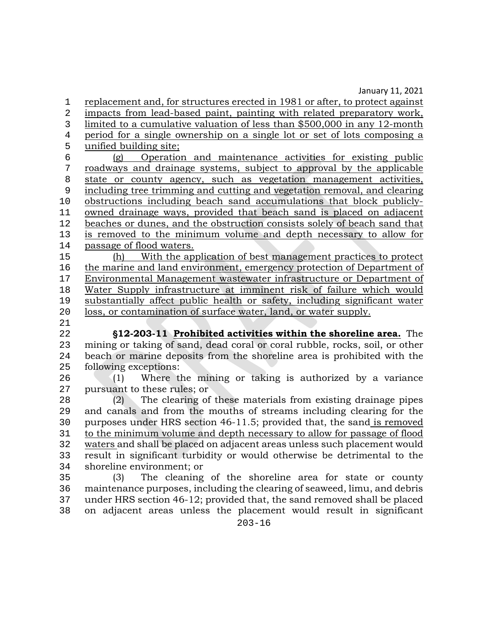1 replacement and, for structures erected in 1981 or after, to protect against<br>2 impacts from lead-based paint, painting with related preparatory work, impacts from lead-based paint, painting with related preparatory work, 3 limited to a cumulative valuation of less than \$500,000 in any 12-month<br>4 period for a single ownership on a single lot or set of lots composing a 4 period for a single ownership on a single lot or set of lots composing a<br>5 unified building site:  $\frac{1}{6}$  unified building site;

6 (g) Operation and maintenance activities for existing public<br>7 roadways and drainage systems, subject to approval by the applicable 7 roadways and drainage systems, subject to approval by the applicable 8 state or county agency, such as vegetation management activities,<br>9 including tree trimming and cutting and vegetation removal, and clearing 9 including tree trimming and cutting and vegetation removal, and clearing 10 <u>obstructions including beach sand accumulations that block publicly-</u><br>11 owned drainage ways, provided that beach sand is placed on adiacent 11 owned drainage ways, provided that beach sand is placed on adjacent<br>12 beaches or dunes, and the obstruction consists solely of beach sand that 12 beaches or dunes, and the obstruction consists solely of beach sand that<br>13 is removed to the minimum volume and depth necessary to allow for 13 is removed to the minimum volume and depth necessary to allow for passage of flood waters. 14 passage of flood waters.<br>15 (h) With the ap

15 (h) With the application of best management practices to protect the marine and land environment, emergency protection of Department of 16 the marine and land environment, emergency protection of Department of Environmental Management was tewater infrastructure or Department of 17 Environmental Management wastewater infrastructure or Department of Water Supply infrastructure at imminent risk of failure which would 18 Water Supply infrastructure at imminent risk of failure which would<br>19 substantially affect public health or safety, including significant water 19 substantially affect public health or safety, including significant water<br>20 loss, or contamination of surface water, land, or water supply. loss, or contamination of surface water, land, or water supply.

 $\frac{21}{22}$ 

22 '**12-203-11 Prohibited activities within the shoreline area.** The 23 mining or taking of sand, dead coral or coral rubble, rocks, soil, or other<br>24 beach or marine deposits from the shoreline area is prohibited with the 24 beach or marine deposits from the shoreline area is prohibited with the following exceptions: 25 following exceptions:<br>26 (1) Where the

26 (1) Where the mining or taking is authorized by a variance<br>27 pursuant to these rules: or 27 pursuant to these rules; or 28 (2) The clearing of

28 (2) The clearing of these materials from existing drainage pipes<br>29 and canals and from the mouths of streams including clearing for the 29 and canals and from the mouths of streams including clearing for the<br>20 purposes under HRS section 46-11.5; provided that, the sand is removed 30 purposes under HRS section 46-11.5; provided that, the sand is removed<br>31 to the minimum volume and depth necessary to allow for passage of flood 31 to the minimum volume and depth necessary to allow for passage of flood<br>32 waters and shall be placed on adiacent areas unless such placement would 32 waters and shall be placed on adjacent areas unless such placement would<br>33 result in significant turbidity or would otherwise be detrimental to the 33 result in significant turbidity or would otherwise be detrimental to the shoreline environment; or

 (3) The cleaning of the shoreline area for state or county 36 maintenance purposes, including the clearing of seaweed, limu, and debris<br>37 under HRS section 46-12; provided that, the sand removed shall be placed under HRS section 46-12; provided that, the sand removed shall be placed on adjacent areas unless the placement would result in significant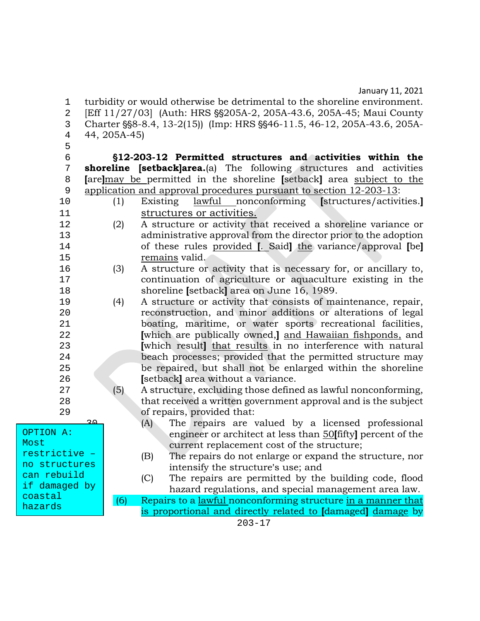1 turbidity or would otherwise be detrimental to the shoreline environment.<br>2 [Eff 11/27/03] (Auth: HRS §§205A-2, 205A-43.6, 205A-45; Maui County 2 [Eff 11/27/03] (Auth: HRS §§205A-2, 205A-43.6, 205A-45; Maui County<br>3 Charter §§8-8.4, 13-2(15)) (Imp: HRS §§46-11.5, 46-12, 205A-43.6, 205A-3 Charter §§8-8.4, 13-2(15)) (Imp: HRS §§46-11.5, 46-12, 205A-43.6, 205A-4<br>4 44. 205A-45) 44, 205A-45) 5<br>6 6 '**12-203-12 Permitted structures and activities within the**  7 **shoreline [setback]area.**(a) The following structures and activities 8 **[**are**]**may be permitted in the shoreline **[**setback**]** area subject to the application and approval procedures pursuant to section 12-203-13:<br>(1) Existing lawful nonconforming [structures/activities.] 10 (1) Existing <u>lawful nonconforming</u> 11 structures or activities.<br>12 (2) A structure or activity the 12 (2) A structure or activity that received a shoreline variance or administrative approval from the director prior to the adoption 13 administrative approval from the director prior to the adoption<br>14 of these rules provided L Saidl the variance/approval Ibel 14 of these rules provided **[**. Said**]** the variance/approval **[**be**]**  15 remains valid.<br>16 (3) A structure or 16 (3) A structure or activity that is necessary for, or ancillary to,<br>17 continuation of agriculture or aquaculture existing in the 17 continuation of agriculture or aquaculture existing in the<br>18 shoreline Isetbacklarea on June 16, 1989 18 shoreline **[setback]** area on June 16, 1989.<br>19 (4) A structure or activity that consists of ma A structure or activity that consists of maintenance, repair, 20 reconstruction, and minor additions or alterations of legal<br>21 boating, maritime, or water sports recreational facilities. 21 boating, maritime, or water sports recreational facilities,<br>22 **I**which are publically owned. I and Hawaiian fishponds, and 22 **[**which are publically owned,**]** and Hawaiian fishponds, and 23 **[**which result**]** that results in no interference with natural 24 beach processes; provided that the permitted structure may<br>25 be repaired, but shall not be enlarged within the shoreline 25 be repaired, but shall not be enlarged within the shoreline<br>26 **Section** Section of the shore is the shore in the shore in the shore in the shore in the shore in the shore in the shore in the shore in the shore in the s 26 **[**setback**]** area without a variance.<br>27 **6 h** A structure, excluding those define 27 (5) A structure, excluding those defined as lawful nonconforming,<br>28 that received a written government approval and is the subject that received a written government approval and is the subject 29 of repairs, provided that:<br>
(A) The repairs are v The repairs are valued by a licensed professional 31 engineer or architect at less than 50**[**fifty**]** percent of the current replacement cost of the structure; (B) The repairs do not enlarge or expand the structure, nor intensify the structure's use; and<br>(C) The repairs are permitted by the The repairs are permitted by the building code, flood hazard regulations, and special management area law.<br>6) Repairs to a lawful nonconforming structure in a manner that Repairs to a lawful nonconforming structure in a manner that 38 is proportional and directly related to **[**damaged**]** damage by OPTION A: restrictive – no structures can rebuild if damaged by coastal hazards

Most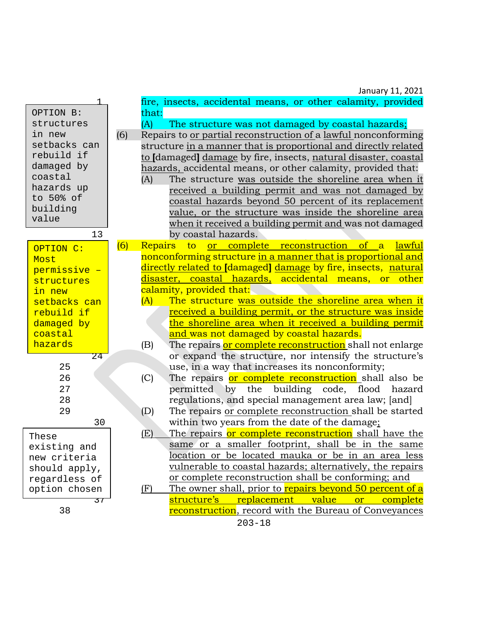|                 |       | January 11, 2021                                                          |
|-----------------|-------|---------------------------------------------------------------------------|
|                 |       | fire, insects, accidental means, or other calamity, provided              |
| OPTION B:       | that: |                                                                           |
| structures      | (A)   | The structure was not damaged by coastal hazards;                         |
| in new          | (6)   | Repairs to or partial reconstruction of a lawful nonconforming            |
| setbacks can    |       | structure in a manner that is proportional and directly related           |
| rebuild if      |       | to [damaged] damage by fire, insects, natural disaster, coastal           |
| damaged by      |       | hazards, accidental means, or other calamity, provided that:              |
| coastal         | (A)   | The structure was outside the shoreline area when it                      |
| hazards up      |       | received a building permit and was not damaged by                         |
| to 50% of       |       | coastal hazards beyond 50 percent of its replacement                      |
| building        |       | value, or the structure was inside the shoreline area                     |
| value           |       | when it received a building permit and was not damaged                    |
| 13              |       | by coastal hazards.                                                       |
| OPTION C:       | (6)   | complete reconstruction<br>Repairs<br>lawful<br>$\sigma$<br>to<br>a<br>or |
| Most            |       | nonconforming structure in a manner that is proportional and              |
| permissive -    |       | directly related to [damaged] damage by fire, insects, natural            |
| structures      |       | disaster, coastal hazards, accidental means, or other                     |
| in new          |       | calamity, provided that:                                                  |
| setbacks can    | (A)   | The structure was outside the shoreline area when it                      |
| rebuild if      |       | received a building permit, or the structure was inside                   |
| damaged by      |       | the shoreline area when it received a building permit                     |
| coastal         |       | and was not damaged by coastal hazards.                                   |
| hazards         | (B)   | The repairs or complete reconstruction shall not enlarge                  |
| 24              |       | or expand the structure, nor intensify the structure's                    |
| 25              |       | use, in a way that increases its nonconformity;                           |
| 26              | (C)   | The repairs or complete reconstruction shall also be                      |
| 27              |       | permitted by the building code, flood hazard                              |
| 28              |       | regulations, and special management area law; [and]                       |
| 29              | (D)   | The repairs or complete reconstruction shall be started                   |
| 30              |       | within two years from the date of the damage;                             |
| These           | (E)   | The repairs or complete reconstruction shall have the                     |
| existing and    |       | same or a smaller footprint, shall be in the same                         |
| new criteria    |       | location or be located mauka or be in an area less                        |
| should apply,   |       | vulnerable to coastal hazards; alternatively, the repairs                 |
| regardless of   |       | or complete reconstruction shall be conforming; and                       |
| option chosen   | (F)   | The owner shall, prior to repairs beyond 50 percent of a                  |
| $\overline{37}$ |       | structure's<br>replacement<br>value<br><sub>or</sub><br>complete          |
| 38              |       | reconstruction, record with the Bureau of Conveyances                     |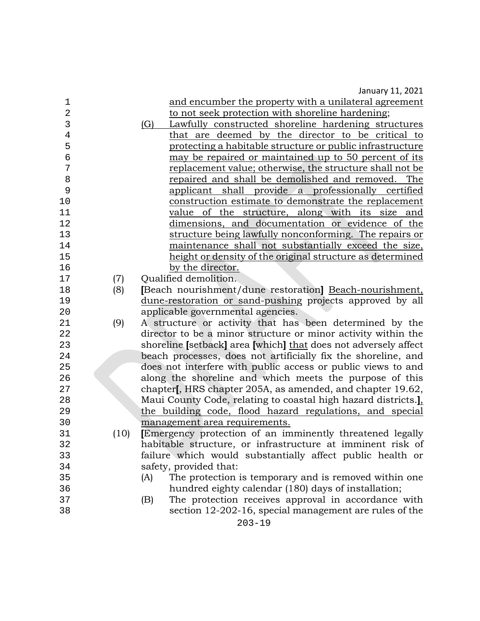| $\mathbf 1$    |      | and encumber the property with a unilateral agreement           |
|----------------|------|-----------------------------------------------------------------|
| $\overline{2}$ |      | to not seek protection with shoreline hardening;                |
| 3              |      | (G)<br>Lawfully constructed shoreline hardening structures      |
| $\overline{4}$ |      | that are deemed by the director to be critical to               |
| 5              |      | protecting a habitable structure or public infrastructure       |
| 6              |      | may be repaired or maintained up to 50 percent of its           |
| 7              |      | replacement value; otherwise, the structure shall not be        |
| 8              |      | repaired and shall be demolished and removed. The               |
| 9              |      | applicant shall provide a professionally certified              |
| 10             |      | construction estimate to demonstrate the replacement            |
| 11             |      | value of the structure, along with its size<br>and              |
| 12             |      | dimensions, and documentation or evidence of the                |
| 13             |      | structure being lawfully nonconforming. The repairs or          |
| 14             |      | maintenance shall not substantially exceed the size,            |
| 15             |      | height or density of the original structure as determined       |
| 16             |      | by the director.                                                |
| 17             | (7)  | Qualified demolition.                                           |
| 18             | (8)  | [Beach nourishment/dune restoration] Beach-nourishment,         |
| 19             |      | dune-restoration or sand-pushing projects approved by all       |
| 20             |      | applicable governmental agencies.                               |
| 21             | (9)  | A structure or activity that has been determined by the         |
| 22             |      | director to be a minor structure or minor activity within the   |
| 23             |      | shoreline [setback] area [which] that does not adversely affect |
| 24             |      | beach processes, does not artificially fix the shoreline, and   |
| 25             |      | does not interfere with public access or public views to and    |
| 26             |      | along the shoreline and which meets the purpose of this         |
| 27             |      | chapter, HRS chapter 205A, as amended, and chapter 19.62,       |
| 28             |      | Maui County Code, relating to coastal high hazard districts.]   |
| 29             |      | the building code, flood hazard regulations, and special        |
| 30             |      | management area requirements.                                   |
| 31             | (10) | Emergency protection of an imminently threatened legally        |
| 32             |      | habitable structure, or infrastructure at imminent risk of      |
| 33             |      | failure which would substantially affect public health or       |
| 34             |      | safety, provided that:                                          |
| 35             |      | The protection is temporary and is removed within one<br>(A)    |
| 36             |      | hundred eighty calendar (180) days of installation;             |
| 37             |      | The protection receives approval in accordance with<br>(B)      |
| 38             |      | section 12-202-16, special management are rules of the          |
|                |      |                                                                 |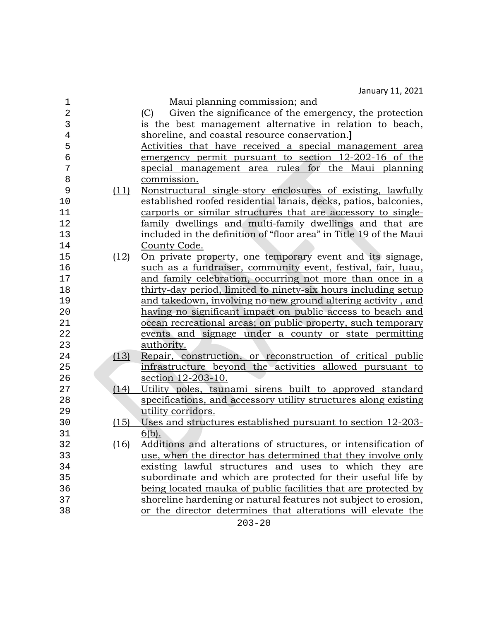| $\mathbf 1$    |      | Maui planning commission; and                                      |
|----------------|------|--------------------------------------------------------------------|
| $\overline{2}$ |      | Given the significance of the emergency, the protection<br>(C)     |
| 3              |      | is the best management alternative in relation to beach,           |
| 4              |      | shoreline, and coastal resource conservation.]                     |
| 5              |      | Activities that have received a special management area            |
| 6              |      | emergency permit pursuant to section 12-202-16 of the              |
| 7              |      | special management area rules for the Maui planning                |
| 8              |      | commission.                                                        |
| 9              | (11) | Nonstructural single-story enclosures of existing, lawfully        |
| 10             |      | established roofed residential lanais, decks, patios, balconies,   |
| 11             |      | carports or similar structures that are accessory to single-       |
| 12             |      | <u>family dwellings and multi-family dwellings and that are</u>    |
| 13             |      | included in the definition of "floor area" in Title 19 of the Maui |
| 14             |      | County Code.                                                       |
| 15             | (12) | On private property, one temporary event and its signage,          |
| 16             |      | such as a fundraiser, community event, festival, fair, luau,       |
| 17             |      | and family celebration, occurring not more than once in a          |
| 18             |      | thirty-day period, limited to ninety-six hours including setup     |
| 19             |      | and takedown, involving no new ground altering activity, and       |
| 20             |      | having no significant impact on public access to beach and         |
| 21             |      | ocean recreational areas; on public property, such temporary       |
| 22             |      | events and signage under a county or state permitting              |
| 23             |      | authority.                                                         |
| 24             | (13) | Repair, construction, or reconstruction of critical public         |
| 25             |      | infrastructure beyond the activities allowed pursuant to           |
| 26             |      | section 12-203-10.                                                 |
| 27             | (14) | Utility poles, tsunami sirens built to approved standard           |
| 28             |      | specifications, and accessory utility structures along existing    |
| 29             |      | utility corridors.                                                 |
| 30             | (15) | Uses and structures established pursuant to section 12-203-        |
| 31             |      | $6(b)$ .                                                           |
| 32             | (16) | Additions and alterations of structures, or intensification of     |
| 33             |      | use, when the director has determined that they involve only       |
| 34             |      | existing lawful structures and uses to which they are              |
| 35             |      | subordinate and which are protected for their useful life by       |
| 36             |      | being located mauka of public facilities that are protected by     |
| 37             |      | shoreline hardening or natural features not subject to erosion,    |
| 38             |      | or the director determines that alterations will elevate the       |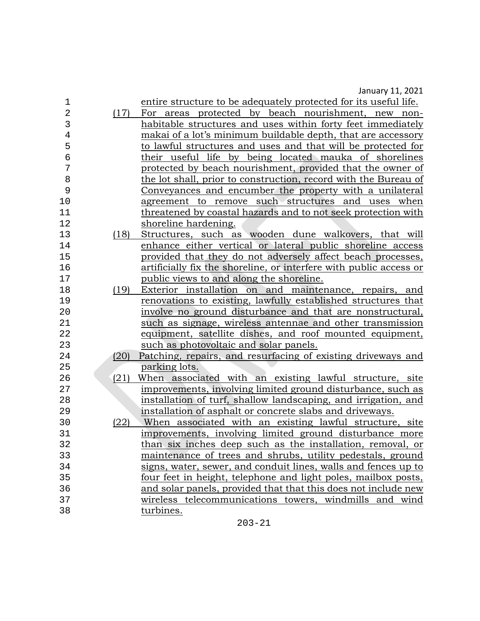| 1              |      | entire structure to be adequately protected for its useful life.   |
|----------------|------|--------------------------------------------------------------------|
| $\overline{2}$ | (17) | For areas protected by beach nourishment, new non-                 |
| 3              |      | habitable structures and uses within forty feet immediately        |
| $\overline{4}$ |      | makai of a lot's minimum buildable depth, that are accessory       |
| 5              |      | to lawful structures and uses and that will be protected for       |
| 6              |      | their useful life by being located mauka of shorelines             |
| 7              |      | protected by beach nourishment, provided that the owner of         |
| 8              |      | the lot shall, prior to construction, record with the Bureau of    |
| 9              |      | Conveyances and encumber the property with a unilateral            |
| 10             |      | agreement to remove such structures and uses when                  |
| 11             |      | threatened by coastal hazards and to not seek protection with      |
| 12             |      | shoreline hardening.                                               |
| 13             | (18) | Structures, such as wooden dune walkovers, that will               |
| 14             |      | enhance either vertical or lateral public shoreline access         |
| 15             |      | provided that they do not adversely affect beach processes,        |
| 16             |      | artificially fix the shoreline, or interfere with public access or |
| 17             |      | public views to and along the shoreline.                           |
| 18             | (19) | Exterior installation on and maintenance, repairs, and             |
| 19             |      | renovations to existing, lawfully established structures that      |
| 20             |      | involve no ground disturbance and that are nonstructural,          |
| 21             |      | such as signage, wireless antennae and other transmission          |
| 22             |      | equipment, satellite dishes, and roof mounted equipment,           |
| 23             |      | such as photovoltaic and solar panels.                             |
| 24             | (20) | Patching, repairs, and resurfacing of existing driveways and       |
| 25             |      | parking lots.                                                      |
| 26             | (21) | When associated with an existing lawful structure, site            |
| 27             |      | improvements, involving limited ground disturbance, such as        |
| 28             |      | installation of turf, shallow landscaping, and irrigation, and     |
| 29             |      | installation of asphalt or concrete slabs and driveways.           |
| 30             | (22) | When associated with an existing lawful structure, site            |
| 31             |      | improvements, involving limited ground disturbance more            |
| 32             |      | than six inches deep such as the installation, removal, or         |
| 33             |      | maintenance of trees and shrubs, utility pedestals, ground         |
| 34             |      | signs, water, sewer, and conduit lines, walls and fences up to     |
| 35             |      | four feet in height, telephone and light poles, mailbox posts,     |
| 36             |      | and solar panels, provided that that this does not include new     |
| 37             |      | wireless telecommunications towers, windmills and wind             |
| 38             |      | turbines.                                                          |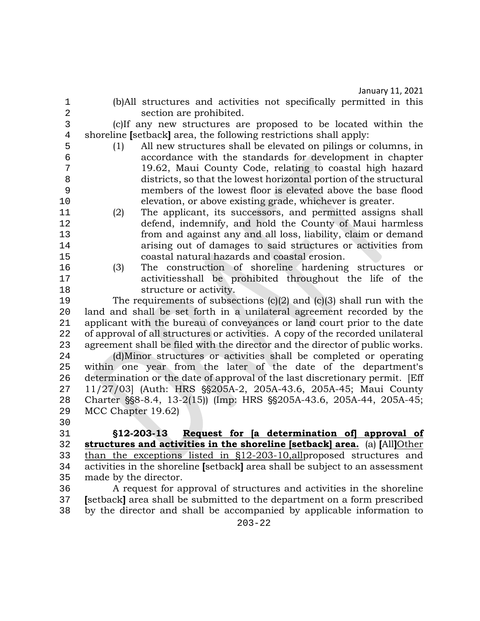1 (b)All structures and activities not specifically permitted in this

2 section are prohibited.<br>3 (clif any new structures are 3 (c)If any new structures are proposed to be located within the 4 shoreline **[setback]** area, the following restrictions shall apply:<br>5 (1) All new structures shall be elevated on pilings or o

5 (1) All new structures shall be elevated on pilings or columns, in 6 accordance with the standards for development in chapter 19.62, Maui County Code, relating to coastal high hazard 8 districts, so that the lowest horizontal portion of the structural<br>9 members of the lowest floor is elevated above the base flood members of the lowest floor is elevated above the base flood

- 10 elevation, or above existing grade, whichever is greater.<br>11 (2) The applicant, its successors, and permitted assigns The applicant, its successors, and permitted assigns shall 12 defend, indemnify, and hold the County of Maui harmless<br>13 from and against any and all loss, liability, claim or demand 13 from and against any and all loss, liability, claim or demand 14 arising out of damages to said structures or activities from<br>15 coastal natural hazards and coastal erosion.
- 15 coastal natural hazards and coastal erosion.<br>16 (3) The construction of shoreline hardening 16 (3) The construction of shoreline hardening structures or 17 activitiesshall be prohibited throughout the life of the

18 structure or activity.<br>19 The requirements of subse 19 The requirements of subsections  $(c)(2)$  and  $(c)(3)$  shall run with the 20 and and shall be set forth in a unilateral agreement recorded by the 20 land and shall be set forth in a unilateral agreement recorded by the 21 applicant with the bureau of convevances or land court prior to the date 21 applicant with the bureau of conveyances or land court prior to the date<br>22 of approval of all structures or activities. A copy of the recorded unilateral 22 of approval of all structures or activities. A copy of the recorded unilateral<br>23 agreement shall be filed with the director and the director of public works. 23 agreement shall be filed with the director and the director of public works.<br>24 (d)Minor structures or activities shall be completed or operating

24 (d)Minor structures or activities shall be completed or operating<br>25 within one year from the later of the date of the department's within one year from the later of the date of the department's 26 determination or the date of approval of the last discretionary permit. [Eff 27 11/27/03] (Auth: HRS \$8205A-2, 205A-43.6, 205A-45: Maui County 27 11/27/03] (Auth: HRS §§205A-2, 205A-43.6, 205A-45; Maui County<br>28 Charter §§8-8.4, 13-2(15)) (Imp: HRS §§205A-43.6, 205A-44, 205A-45; 28 Charter \\$\$8-8.4, 13-2(15)) (Imp: HRS \\$\$205A-43.6, 205A-44, 205A-45;<br>29 MCC Chapter 19.62) MCC Chapter 19.62)

 $30$ <br> $31$ 

31 '**12-203-13 Request for [a determination of] approval of**  32 **structures and activities in the shoreline [setback] area.** (a) **[**All**]**Other 33 than the exceptions listed in §12-203-10, all proposed structures and<br>34 activities in the shoreline [setback] area shall be subject to an assessment 34 activities in the shoreline **[**setback**]** area shall be subject to an assessment 35 made by the director.<br>36 A request for a

36 A request for approval of structures and activities in the shoreline<br>37 Setback area shall be submitted to the department on a form prescribed 37 **[**setback**]** area shall be submitted to the department on a form prescribed by the director and shall be accompanied by applicable information to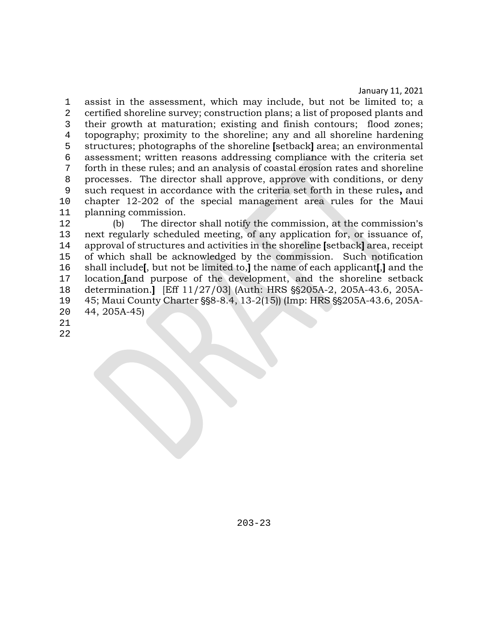1 assist in the assessment, which may include, but not be limited to; a 2 certified shoreline survey; construction plans; a list of proposed plants and 3 their growth at maturation; existing and finish contours; flood zones;<br>4 topography: proximity to the shoreline: any and all shoreline hardening 4 topography; proximity to the shoreline; any and all shoreline hardening<br>5 structures: photographs of the shoreline [setback] area: an environmental 5 structures; photographs of the shoreline **[**setback**]** area; an environmental 6 assessment; written reasons addressing compliance with the criteria set<br>6 forth in these rules: and an analysis of coastal erosion rates and shoreline 7 forth in these rules; and an analysis of coastal erosion rates and shoreline 8 processes. The director shall approve, approve with conditions, or deny<br>9 such request in accordance with the criteria set forth in these rules, and 9 such request in accordance with the criteria set forth in these rules**,** and 10 chapter 12-202 of the special management area rules for the Maui 11 planning commission.<br>12 (b) The direct

12 (b) The director shall notify the commission, at the commission's<br>13 next regularly scheduled meeting, of any application for, or issuance of. 13 next regularly scheduled meeting, of any application for, or issuance of,<br>14 approval of structures and activities in the shoreline [setback] area, receipt 14 approval of structures and activities in the shoreline **[**setback**]** area, receipt 15 of which shall be acknowledged by the commission. Such notification<br>16 shall include, but not be limited to, l the name of each applicant, l and the 16 shall include**[**, but not be limited to,**]** the name of each applicant**[**,**]** and the 17 location.**[and purpose of the development, and the shoreline setback**<br>18 determination.**1** IEff 11/27/031 (Auth: HRS \$\$205A-2, 205A-43.6, 205A-18 determination.**]** [Eff 11/27/03] (Auth: HRS \$\$205A-2, 205A-43.6, 205A-<br>19 45; Maui County Charter \$\$8-8.4, 13-2(15)) (Imp: HRS \$\$205A-43.6, 205A-19 45; Maui County Charter §§8-8.4, 13-2(15)) (Imp: HRS §§205A-43.6, 205A-<br>20 44. 205A-45) 20 44, 205A-45)

21

22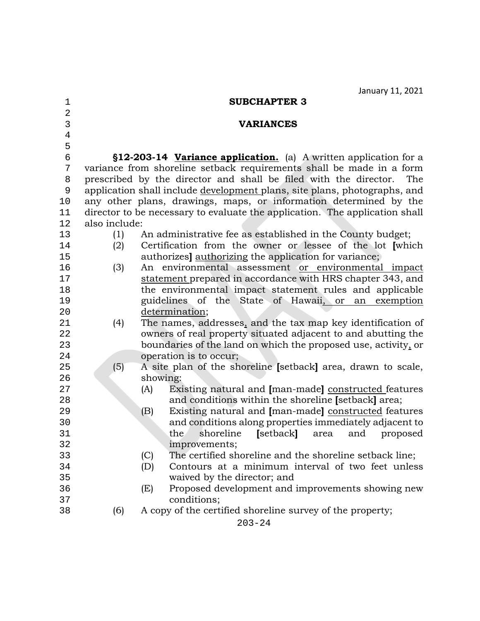| 1              |               | <b>SUBCHAPTER 3</b>                                                         |
|----------------|---------------|-----------------------------------------------------------------------------|
| $\overline{2}$ |               |                                                                             |
| 3              |               | <b>VARIANCES</b>                                                            |
| $\overline{4}$ |               |                                                                             |
| 5              |               |                                                                             |
| 6              |               | §12-203-14 Variance application. (a) A written application for a            |
| 7              |               | variance from shoreline setback requirements shall be made in a form        |
| $\, 8$         |               | prescribed by the director and shall be filed with the director.<br>The     |
| 9              |               | application shall include development plans, site plans, photographs, and   |
| 10             |               | any other plans, drawings, maps, or information determined by the           |
| 11             |               | director to be necessary to evaluate the application. The application shall |
| 12             | also include: |                                                                             |
| 13             | (1)           | An administrative fee as established in the County budget;                  |
| 14             | (2)           | Certification from the owner or lessee of the lot [which                    |
| 15             |               | authorizes] authorizing the application for variance;                       |
| 16             | (3)           | An environmental assessment or environmental impact                         |
| 17             |               | statement prepared in accordance with HRS chapter 343, and                  |
| 18             |               | the environmental impact statement rules and applicable                     |
| 19             |               | guidelines of the State of Hawaii, or an exemption                          |
| 20             |               | determination;                                                              |
| 21             | (4)           | The names, addresses, and the tax map key identification of                 |
| 22             |               | owners of real property situated adjacent to and abutting the               |
| 23             |               | boundaries of the land on which the proposed use, activity, or              |
| 24             |               | operation is to occur;                                                      |
| 25             | (5)           | A site plan of the shoreline [setback] area, drawn to scale,                |
| 26             |               | showing:                                                                    |
| 27             |               | Existing natural and [man-made] constructed features<br>(A)                 |
| 28             |               | and conditions within the shoreline [setback] area;                         |
| 29             |               | Existing natural and [man-made] constructed features<br>(B)                 |
| 30             |               | and conditions along properties immediately adjacent to                     |
| 31             |               | [setback]<br>the<br>shoreline<br>area<br>and<br>proposed                    |
| 32             |               | improvements;                                                               |
| 33             |               | The certified shoreline and the shoreline setback line;<br>(C)              |
| 34             |               | Contours at a minimum interval of two feet unless<br>(D)                    |
| 35             |               | waived by the director; and                                                 |
| 36             |               | Proposed development and improvements showing new<br>(E)                    |
| 37             |               | conditions;                                                                 |
| 38             | (6)           | A copy of the certified shoreline survey of the property;                   |
|                |               | $203 - 24$                                                                  |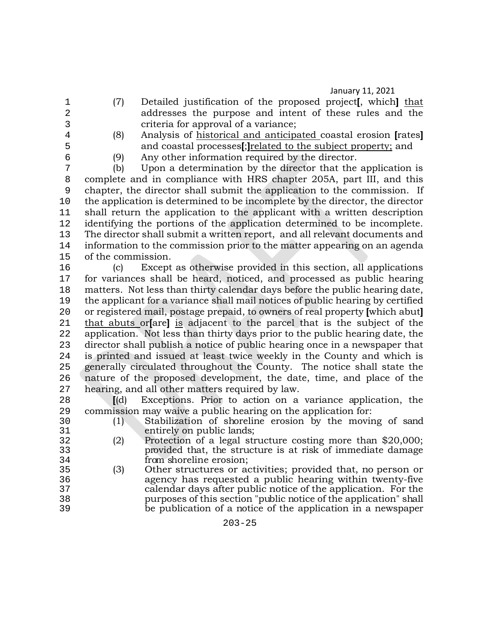- 
- 1 (7) Detailed justification of the proposed project**[**, which**]** that 2 addresses the purpose and intent of these rules and the criteria for approval of a variance: 3 criteria for approval of a variance;<br>4 (8) Analysis of historical and anticina
- 
- 4 (8) Analysis of historical and anticipated coastal erosion **[**rates**]** 5 and coastal processes[;<u>]related to the subject property;</u> and<br>6 (9) Any other information required by the director.
- 

6 (9) Any other information required by the director. (b) Upon a determination by the director that the application is 8 complete and in compliance with HRS chapter 205A, part III, and this 9 chapter, the director shall submit the application to the commission. If 10 the application is determined to be incomplete by the director, the director<br>11 shall return the application to the applicant with a written description shall return the application to the applicant with a written description 12 identifying the portions of the application determined to be incomplete.<br>13 The director shall submit a written report, and all relevant documents and 13 The director shall submit a written report, and all relevant documents and<br>14 information to the commission prior to the matter appearing on an agenda 14 information to the commission prior to the matter appearing on an agenda<br>15 of the commission. 15 of the commission.<br>16 (c) Except

16 (c) Except as otherwise provided in this section, all applications 17 for variances shall be heard, noticed, and processed as public hearing<br>18 matters. Not less than thirty calendar days before the public hearing date. matters. Not less than thirty calendar days before the public hearing date, 19 the applicant for a variance shall mail notices of public hearing by certified<br>20 or registered mail, postage prepaid, to owners of real property which abut 20 or registered mail, postage prepaid, to owners of real property **[**which abut**]**  21 that abuts or**[**are**]** is adjacent to the parcel that is the subject of the 22 application. Not less than thirty days prior to the public hearing date, the<br>23 director shall publish a notice of public hearing once in a newspaper that director shall publish a notice of public hearing once in a newspaper that 24 is printed and issued at least twice weekly in the County and which is<br>25 eenerally circulated throughout the County. The notice shall state the 25 generally circulated throughout the County. The notice shall state the 26 nature of the proposed development, the date, time, and place of the 27 hearing, and all other matters required by law.

27 hearing, and all other matters required by law.<br>28 **II**(d) Exceptions. Prior to action on a 28 **[(d)** Exceptions. Prior to action on a variance application, the commission may waive a public hearing on the application for:

- 29 commission may waive a public hearing on the application for:<br>30 (1) Stabilization of shoreline erosion by the moving 30 (1) Stabilization of shoreline erosion by the moving of sand 31 entirely on public lands;<br>32 (2) Protection of a legal str
- 32 (2) Protection of a legal structure costing more than \$20,000; 33 provided that, the structure is at risk of immediate damage<br>34 from shoreline erosion: 34 from shoreline erosion;<br>35 (3) Other structures or a
- 35 (3) Other structures or activities; provided that, no person or 36 agency has requested a public hearing within twenty-five 37 calendar days after public notice of the application. For the 38 purposes of this section "public notice of the application" shall<br>39 be publication of a notice of the application in a newspaper be publication of a notice of the application in a newspaper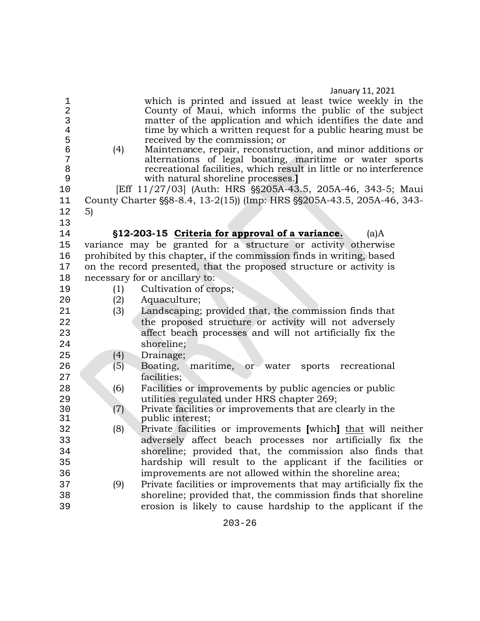| 1<br>$\overline{a}$<br>3<br>$\bf 4$<br>5<br>$\epsilon$<br>7<br>8<br>9<br>10<br>11<br>12 | (4)<br>5) | which is printed and issued at least twice weekly in the<br>County of Maui, which informs the public of the subject<br>matter of the application and which identifies the date and<br>time by which a written request for a public hearing must be<br>received by the commission; or<br>Maintenance, repair, reconstruction, and minor additions or<br>alternations of legal boating, maritime or water sports<br>recreational facilities, which result in little or no interference<br>with natural shoreline processes.<br>[Eff 11/27/03] (Auth: HRS §§205A-43.5, 205A-46, 343-5; Maui<br>County Charter § § 8-8.4, 13-2(15)) (Imp: HRS § § 205A-43.5, 205A-46, 343- |
|-----------------------------------------------------------------------------------------|-----------|------------------------------------------------------------------------------------------------------------------------------------------------------------------------------------------------------------------------------------------------------------------------------------------------------------------------------------------------------------------------------------------------------------------------------------------------------------------------------------------------------------------------------------------------------------------------------------------------------------------------------------------------------------------------|
| 13                                                                                      |           |                                                                                                                                                                                                                                                                                                                                                                                                                                                                                                                                                                                                                                                                        |
| 14                                                                                      |           | §12-203-15 Criteria for approval of a variance.<br>$(a)$ A                                                                                                                                                                                                                                                                                                                                                                                                                                                                                                                                                                                                             |
| 15                                                                                      |           | variance may be granted for a structure or activity otherwise                                                                                                                                                                                                                                                                                                                                                                                                                                                                                                                                                                                                          |
| 16                                                                                      |           | prohibited by this chapter, if the commission finds in writing, based                                                                                                                                                                                                                                                                                                                                                                                                                                                                                                                                                                                                  |
| 17                                                                                      |           | on the record presented, that the proposed structure or activity is                                                                                                                                                                                                                                                                                                                                                                                                                                                                                                                                                                                                    |
| 18                                                                                      |           | necessary for or ancillary to:                                                                                                                                                                                                                                                                                                                                                                                                                                                                                                                                                                                                                                         |
| 19                                                                                      | (1)       | Cultivation of crops;                                                                                                                                                                                                                                                                                                                                                                                                                                                                                                                                                                                                                                                  |
| 20                                                                                      | (2)       | Aquaculture;                                                                                                                                                                                                                                                                                                                                                                                                                                                                                                                                                                                                                                                           |
| 21                                                                                      | (3)       | Landscaping; provided that, the commission finds that                                                                                                                                                                                                                                                                                                                                                                                                                                                                                                                                                                                                                  |
| 22                                                                                      |           | the proposed structure or activity will not adversely                                                                                                                                                                                                                                                                                                                                                                                                                                                                                                                                                                                                                  |
| 23                                                                                      |           | affect beach processes and will not artificially fix the                                                                                                                                                                                                                                                                                                                                                                                                                                                                                                                                                                                                               |
| 24                                                                                      |           | shoreline;                                                                                                                                                                                                                                                                                                                                                                                                                                                                                                                                                                                                                                                             |
| 25<br>26                                                                                | (4)       | Drainage;<br>Boating,<br>maritime,                                                                                                                                                                                                                                                                                                                                                                                                                                                                                                                                                                                                                                     |
| 27                                                                                      | (5)       | or water sports recreational<br>facilities;                                                                                                                                                                                                                                                                                                                                                                                                                                                                                                                                                                                                                            |
| 28                                                                                      | (6)       | Facilities or improvements by public agencies or public                                                                                                                                                                                                                                                                                                                                                                                                                                                                                                                                                                                                                |
| 29                                                                                      |           | utilities regulated under HRS chapter 269;                                                                                                                                                                                                                                                                                                                                                                                                                                                                                                                                                                                                                             |
| 30                                                                                      | (7)       | Private facilities or improvements that are clearly in the                                                                                                                                                                                                                                                                                                                                                                                                                                                                                                                                                                                                             |
| 31                                                                                      |           | public interest;                                                                                                                                                                                                                                                                                                                                                                                                                                                                                                                                                                                                                                                       |
| 32                                                                                      | (8)       | Private facilities or improvements [which] that will neither                                                                                                                                                                                                                                                                                                                                                                                                                                                                                                                                                                                                           |
| 33<br>34<br>35<br>36<br>37<br>38<br>39                                                  | (9)       | adversely affect beach processes nor artificially fix the<br>shoreline; provided that, the commission also finds that<br>hardship will result to the applicant if the facilities or<br>improvements are not allowed within the shoreline area;<br>Private facilities or improvements that may artificially fix the<br>shoreline; provided that, the commission finds that shoreline<br>erosion is likely to cause hardship to the applicant if the                                                                                                                                                                                                                     |
|                                                                                         |           |                                                                                                                                                                                                                                                                                                                                                                                                                                                                                                                                                                                                                                                                        |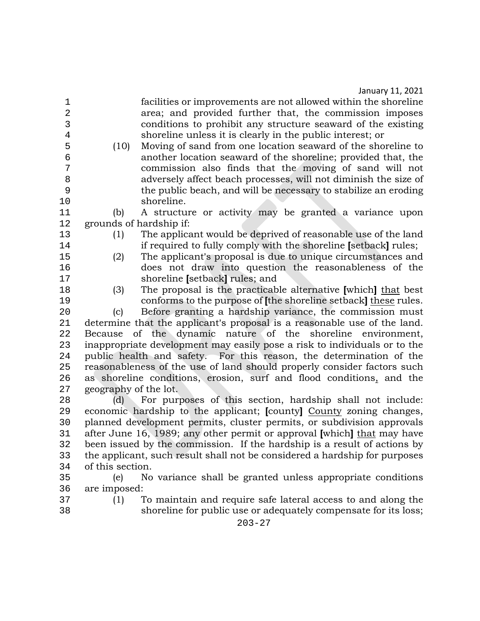1 facilities or improvements are not allowed within the shoreline<br>2 area: and provided further that, the commission imposes 2 area; and provided further that, the commission imposes 3 conditions to prohibit any structure seaward of the existing<br>4 shoreline unless it is clearly in the public interest: or 4 shoreline unless it is clearly in the public interest; or<br>5 (10) Moving of sand from one location seaward of the shor

5 (10) Moving of sand from one location seaward of the shoreline to<br>6 another location seaward of the shoreline: provided that, the 6 another location seaward of the shoreline; provided that, the 7 commission also finds that the moving of sand will not 8 adversely affect beach processes, will not diminish the size of the public beach, and will be necessary to stabilize an eroding

10 shoreline.<br>11 (b) A structu A structure or activity may be granted a variance upon 12 grounds of hardship if:<br>13 (1) The applica

- 
- 

13 (1) The applicant would be deprived of reasonable use of the land<br>14 frequired to fully comply with the shoreline [setback] rules; 14 if required to fully comply with the shoreline **[setback]** rules;<br>15 (2) The applicant's proposal is due to unique circumstances and

15 (2) The applicant's proposal is due to unique circumstances and<br>16 does not draw into question the reasonableness of the 16 does not draw into question the reasonableness of the 17 17 shoreline **[setback]** rules; and<br>18 (3) The proposal is the practicab

18 (3) The proposal is the practicable alternative **[**which**]** that best

19 conforms to the purpose of **[the shoreline setback]** <u>these</u> rules.<br>20 (c) Before granting a hardship variance, the commission must 20 (c) Before granting a hardship variance, the commission must<br>21 determine that the applicant's proposal is a reasonable use of the land. 21 determine that the applicant's proposal is a reasonable use of the land.<br>22 Because of the dynamic nature of the shoreline environment. 22 Because of the dynamic nature of the shoreline environment,<br>23 inappropriate development may easily pose a risk to individuals or to the inappropriate development may easily pose a risk to individuals or to the 24 public health and safety. For this reason, the determination of the reasonableness of the use of land should properly consider factors such reasonableness of the use of land should properly consider factors such 26 as shoreline conditions, erosion, surf and flood conditions, and the 27 geography of the lot. 27 geography of the lot.<br>28 (d) For pur

28 (d) For purposes of this section, hardship shall not include:<br>29 economic hardship to the applicant: Icounty County zoning changes. 29 economic hardship to the applicant; **[**county**]** County zoning changes, 30 planned development permits, cluster permits, or subdivision approvals<br>31 after June 16, 1989: any other permit or approval which that may have 31 after June 16, 1989; any other permit or approval **[**which**]** that may have 32 been issued by the commission. If the hardship is a result of actions by<br>33 the applicant, such result shall not be considered a hardship for purposes 33 the applicant, such result shall not be considered a hardship for purposes<br>34 of this section. of this section.

35 (e) No variance shall be granted unless appropriate conditions 36 are imposed:<br>37 (1) 1

37 (1) To maintain and require safe lateral access to and along the shoreline for public use or adequately compensate for its loss;

203-27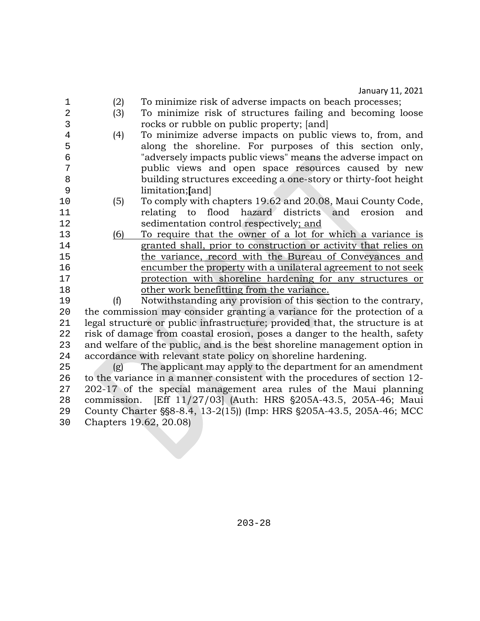- 1 (2) To minimize risk of adverse impacts on beach processes; 2 (3) To minimize risk of structures failing and becoming loose 3 rocks or rubble on public property; [and]<br>4 (4) To minimize adverse impacts on public 4 (4) To minimize adverse impacts on public views to, from, and<br>5 along the shoreline. For purposes of this section only. 5 along the shoreline. For purposes of this section only,<br>6 adversely impacts public views" means the adverse impact on 6 "adversely impacts public views" means the adverse impact on public views and open space resources caused by new 8 building structures exceeding a one-story or thirty-foot height 9 limitation;**[**and] 10 (5) To comply with chapters 19.62 and 20.08, Maui County Code, 11 relating to flood hazard districts and erosion<br>12 sedimentation control respectively: and 12 sedimentation control respectively; and<br>13 (6) To require that the owner of a lot for 13 (6) To require that the owner of a lot for which a variance is granted shall, prior to construction or activity that relies on 14 granted shall, prior to construction or activity that relies on<br>15 the variance, record with the Bureau of Convevances and 15 the variance, record with the Bureau of Conveyances and<br>16 encumber the property with a unilateral agreement to not seek 16 encumber the property with a unilateral agreement to not seek<br>17 brotection with shoreline hardening for any structures or 17 **protection with shoreline hardening for any structures or** 18 **protection** with shoreline from the variance. 18 other work benefitting from the variance.<br>19 (f) Notwithstanding any provision of this sec 19 (f) Notwithstanding any provision of this section to the contrary,<br>20 the commission may consider granting a variance for the protection of a 20 the commission may consider granting a variance for the protection of a<br>21 legal structure or public infrastructure: provided that, the structure is at 21 legal structure or public infrastructure; provided that, the structure is at <br>22 risk of damage from coastal erosion, poses a danger to the health, safety 22 risk of damage from coastal erosion, poses a danger to the health, safety<br>23 and welfare of the public, and is the best shoreline management option in 23 and welfare of the public, and is the best shoreline management option in<br>24 accordance with relevant state policy on shoreline hardening. 24 accordance with relevant state policy on shoreline hardening.<br>25 (g) The applicant may apply to the department for an  $\alpha$  (g) The applicant may apply to the department for an amendment 26 to the variance in a manner consistent with the procedures of section 12-<br>27 202-17 of the special management area rules of the Maui planning 27 202-17 of the special management area rules of the Maui planning<br>28 commission. [Eff 11/27/03] (Auth: HRS §205A-43.5, 205A-46; Maui 28 commission. [Eff 11/27/03] (Auth: HRS §205A-43.5, 205A-46; Maui<br>29 County Charter §§8-8.4, 13-2(15)) (Imp: HRS §205A-43.5, 205A-46: MCC 29 County Charter §§8-8.4, 13-2(15)) (Imp: HRS §205A-43.5, 205A-46; MCC<br>30 Chapters 19.62, 20.08)
- 30 Chapters 19.62, 20.08)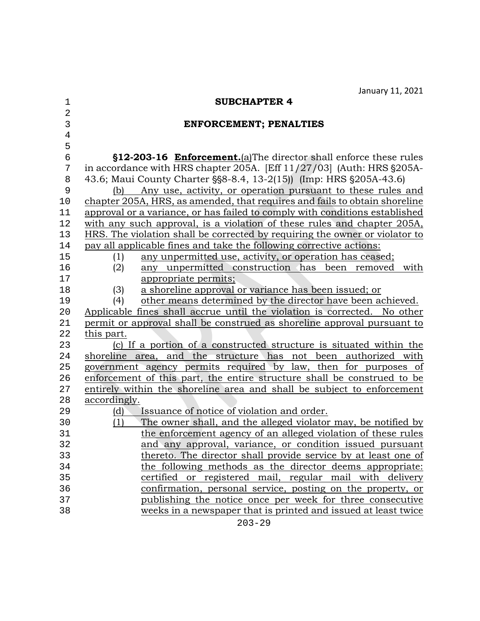| $\mathbf 1$    | <b>SUBCHAPTER 4</b>                                                           |
|----------------|-------------------------------------------------------------------------------|
| $\overline{2}$ |                                                                               |
| 3              | <b>ENFORCEMENT; PENALTIES</b>                                                 |
| $\bf 4$        |                                                                               |
| 5              |                                                                               |
| $\epsilon$     | §12-203-16 Enforcement.(a)The director shall enforce these rules              |
| 7              | in accordance with HRS chapter 205A. [Eff $11/27/03$ ] (Auth: HRS $\S 205A$ - |
| 8              | 43.6; Maui County Charter § \$8-8.4, 13-2(15)) (Imp: HRS § 205A-43.6)         |
| 9              | (b) Any use, activity, or operation pursuant to these rules and               |
| 10             | chapter 205A, HRS, as amended, that requires and fails to obtain shoreline    |
| 11             | approval or a variance, or has failed to comply with conditions established   |
| 12             | with any such approval, is a violation of these rules and chapter 205A,       |
| 13             | HRS. The violation shall be corrected by requiring the owner or violator to   |
| 14             | pay all applicable fines and take the following corrective actions:           |
| 15             | any unpermitted use, activity, or operation has ceased;<br>(1)                |
| 16             | any unpermitted construction has been removed<br>(2)<br>with                  |
| 17             | appropriate permits;                                                          |
| 18             | a shoreline approval or variance has been issued; or<br>(3)                   |
| 19             | other means determined by the director have been achieved.<br>(4)             |
| 20             | Applicable fines shall accrue until the violation is corrected. No other      |
| 21             | permit or approval shall be construed as shoreline approval pursuant to       |
| 22             | this part.                                                                    |
| 23             | (c) If a portion of a constructed structure is situated within the            |
| 24             | shoreline area, and the structure has not been authorized with                |
| 25             | government agency permits required by law, then for purposes of               |
| 26             | enforcement of this part, the entire structure shall be construed to be       |
| 27             | entirely within the shoreline area and shall be subject to enforcement        |
| 28             | accordingly.                                                                  |
| 29             | Issuance of notice of violation and order.<br>(d)                             |
| 30             | The owner shall, and the alleged violator may, be notified by<br>(1)          |
| 31             | the enforcement agency of an alleged violation of these rules                 |
| 32             | and any approval, variance, or condition issued pursuant                      |
| 33             | thereto. The director shall provide service by at least one of                |
| 34             | the following methods as the director deems appropriate:                      |
| 35             | certified or registered mail, regular mail with delivery                      |
| 36             | confirmation, personal service, posting on the property, or                   |
| 37             | publishing the notice once per week for three consecutive                     |
| 38             | weeks in a newspaper that is printed and issued at least twice<br>ana an      |
|                |                                                                               |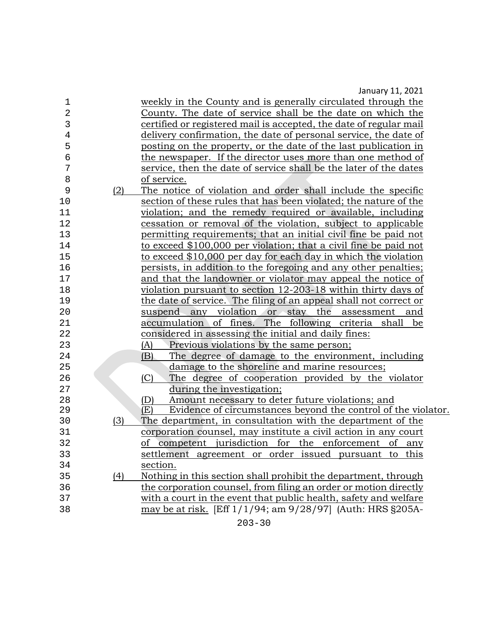| 1              |     | weekly in the County and is generally circulated through the         |
|----------------|-----|----------------------------------------------------------------------|
| $\overline{2}$ |     | County. The date of service shall be the date on which the           |
| 3              |     | certified or registered mail is accepted, the date of regular mail   |
| 4              |     | delivery confirmation, the date of personal service, the date of     |
| 5              |     | posting on the property, or the date of the last publication in      |
| 6              |     | the newspaper. If the director uses more than one method of          |
| 7              |     | service, then the date of service shall be the later of the dates    |
| 8              |     | of service.                                                          |
| 9              | (2) | The notice of violation and order shall include the specific         |
| 10             |     | section of these rules that has been violated; the nature of the     |
| 11             |     | violation; and the remedy required or available, including           |
| 12             |     | cessation or removal of the violation, subject to applicable         |
| 13             |     | permitting requirements; that an initial civil fine be paid not      |
| 14             |     | to exceed \$100,000 per violation; that a civil fine be paid not     |
| 15             |     | to exceed \$10,000 per day for each day in which the violation       |
| 16             |     | persists, in addition to the foregoing and any other penalties;      |
| 17             |     | and that the landowner or violator may appeal the notice of          |
| 18             |     | violation pursuant to section 12-203-18 within thirty days of        |
| 19             |     | the date of service. The filing of an appeal shall not correct or    |
| 20             |     | suspend any violation or stay<br>the assessment<br>and               |
| 21             |     | accumulation of fines. The following criteria shall<br>be            |
| 22             |     | considered in assessing the initial and daily fines:                 |
| 23             |     | Previous violations by the same person;<br>(A)                       |
| 24             |     | The degree of damage to the environment, including<br>(B)            |
| 25             |     | damage to the shoreline and marine resources;                        |
| 26             |     | (C)<br>The degree of cooperation provided by the violator            |
| 27             |     | during the investigation;                                            |
| 28             |     | Amount necessary to deter future violations; and<br>(D)              |
| 29             |     | Evidence of circumstances beyond the control of the violator.<br>(E) |
| 30             | (3) | The department, in consultation with the department of the           |
| 31             |     | corporation counsel, may institute a civil action in any court       |
| 32             |     | of competent jurisdiction for the enforcement of any                 |
| 33             |     | settlement agreement or order issued pursuant to this                |
| 34             |     | section.                                                             |
| 35             | (4) | Nothing in this section shall prohibit the department, through       |
| 36             |     | the corporation counsel, from filing an order or motion directly     |
| 37             |     | with a court in the event that public health, safety and welfare     |
| 38             |     | may be at risk. [Eff 1/1/94; am 9/28/97] (Auth: HRS §205A-           |
|                |     |                                                                      |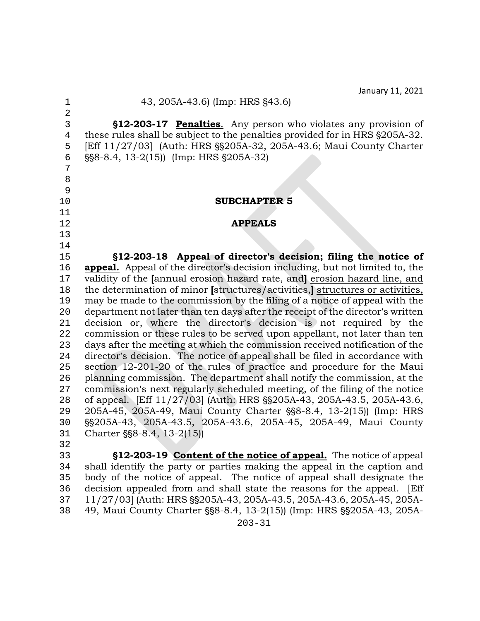| 1                                               | 43, 205A-43.6) (Imp: HRS §43.6)                                                                                                                                                                                                                                |
|-------------------------------------------------|----------------------------------------------------------------------------------------------------------------------------------------------------------------------------------------------------------------------------------------------------------------|
| $\overline{2}$<br>3<br>$\overline{4}$<br>5<br>б | §12-203-17 Penalties. Any person who violates any provision of<br>these rules shall be subject to the penalties provided for in HRS §205A-32.<br>[Eff 11/27/03] (Auth: HRS §§205A-32, 205A-43.6; Maui County Charter<br>§§8-8.4, 13-2(15)) (Imp: HRS §205A-32) |
| 7<br>8<br>9                                     |                                                                                                                                                                                                                                                                |
| 10                                              | <b>SUBCHAPTER 5</b>                                                                                                                                                                                                                                            |
| 11                                              |                                                                                                                                                                                                                                                                |
| 12                                              | <b>APPEALS</b>                                                                                                                                                                                                                                                 |
| 13<br>14                                        |                                                                                                                                                                                                                                                                |
| 15                                              | §12-203-18 Appeal of director's decision; filing the notice of                                                                                                                                                                                                 |
| 16                                              | <b>appeal.</b> Appeal of the director's decision including, but not limited to, the                                                                                                                                                                            |
| 17                                              | validity of the Jannual erosion hazard rate, and erosion hazard line, and                                                                                                                                                                                      |
| 18                                              | the determination of minor [structures/activities,] structures or activities,                                                                                                                                                                                  |
| 19                                              | may be made to the commission by the filing of a notice of appeal with the                                                                                                                                                                                     |
| 20                                              | department not later than ten days after the receipt of the director's written                                                                                                                                                                                 |
| 21                                              | decision or, where the director's decision is not required by the                                                                                                                                                                                              |
| 22                                              | commission or these rules to be served upon appellant, not later than ten                                                                                                                                                                                      |
| 23                                              | days after the meeting at which the commission received notification of the                                                                                                                                                                                    |
| 24                                              | director's decision. The notice of appeal shall be filed in accordance with                                                                                                                                                                                    |
| 25<br>26                                        | section 12-201-20 of the rules of practice and procedure for the Maui<br>planning commission. The department shall notify the commission, at the                                                                                                               |
| 27                                              | commission's next regularly scheduled meeting, of the filing of the notice                                                                                                                                                                                     |
| 28                                              | of appeal. [Eff 11/27/03] (Auth: HRS §§205A-43, 205A-43.5, 205A-43.6,                                                                                                                                                                                          |
| 29                                              | 205A-45, 205A-49, Maui County Charter §§8-8.4, 13-2(15)) (Imp: HRS                                                                                                                                                                                             |
| 30                                              | §§205A-43, 205A-43.5, 205A-43.6, 205A-45, 205A-49, Maui County                                                                                                                                                                                                 |
| 31                                              | Charter §§8-8.4, 13-2(15))                                                                                                                                                                                                                                     |
| 32                                              |                                                                                                                                                                                                                                                                |
| 33                                              | §12-203-19 Content of the notice of appeal. The notice of appeal                                                                                                                                                                                               |
| 34                                              | shall identify the party or parties making the appeal in the caption and                                                                                                                                                                                       |
| 35                                              | body of the notice of appeal. The notice of appeal shall designate the                                                                                                                                                                                         |
| 36                                              | decision appealed from and shall state the reasons for the appeal. [Eff                                                                                                                                                                                        |
| 37                                              | 11/27/03] (Auth: HRS §§205A-43, 205A-43.5, 205A-43.6, 205A-45, 205A-                                                                                                                                                                                           |

38 49, Maui County Charter §§8-8.4, 13-2(15)) (Imp: HRS §§205A-43, 205A-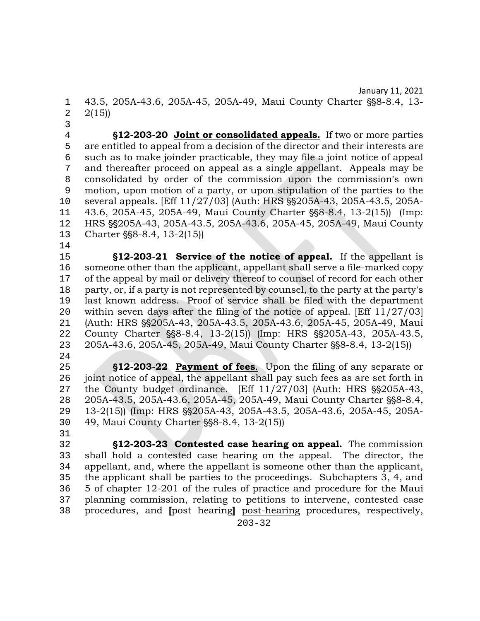1 43.5, 205A-43.6, 205A-45, 205A-49, Maui County Charter §§8-8.4, 13-<br>2 2(15))  $2(15)$ 

3<br>4

4 **12-203-20 <u>Joint or consolidated appeals.</u>** If two or more parties<br>5 are entitled to appeal from a decision of the director and their interests are 5 are entitled to appeal from a decision of the director and their interests are<br>6 such as to make joinder practicable, they may file a joint notice of appeal 6 such as to make joinder practicable, they may file a joint notice of appeal 7 and thereafter proceed on appeal as a single appellant. Appeals may be consolidated by order of the commission upon the commission's own 8 consolidated by order of the commission upon the commission's own<br>9 motion, upon motion of a party, or upon stipulation of the parties to the motion, upon motion of a party, or upon stipulation of the parties to the 10 several appeals. [Eff 11/27/03] (Auth: HRS \$\$205A-43, 205A-43.5, 205A-<br>11 43.6. 205A-45, 205A-49. Maui County Charter \$\$8-8.4, 13-2(15)) (Imp: 11 43.6, 205A-45, 205A-49, Maui County Charter §§8-8.4, 13-2(15)) (Imp:<br>12 HRS §§205A-43, 205A-43.5, 205A-43.6, 205A-45, 205A-49, Maui County 12 HRS \$ \$205 A - 43, 205 A - 43.5, 205 A - 43.6, 205 A - 45, 205 A - 49, Maui County<br>13 Charter \$ \$ 8 - 8.4, 13 - 2(15) Charter  $\S$ §8-8.4, 13-2(15))

 $\begin{array}{c} 14 \\ 15 \end{array}$ 

15 **\tiggs\\frac{\bmat{S12-203-21 Service of the notice of appeal.** If the appellant is 16 someone other than the applicant, appellant shall serve a file-marked copy 16 someone other than the applicant, appellant shall serve a file-marked copy<br>17 of the appeal by mail or delivery thereof to counsel of record for each other 17 of the appeal by mail or delivery thereof to counsel of record for each other<br>18 party, or, if a party is not represented by counsel, to the party at the party's 18 party, or, if a party is not represented by counsel, to the party at the party's<br>19 last known address. Proof of service shall be filed with the department 19 last known address. Proof of service shall be filed with the department 20 within seven days after the filing of the notice of appeal. [Eff 11/27/03]<br>21 (Auth: HRS \$\$205A-43, 205A-43.5, 205A-43.6, 205A-45, 205A-49, Maui 21 (Auth: HRS \$ \$205 A - 43, 205 A - 43.5, 205 A - 43.6, 205 A - 45, 205 A - 49, Maui<br>22 County Charter \$ \$ 8 - 8.4, 13 - 2(15) (Imp: HRS \$ \$ 205 A - 43, 205 A - 43.5, 22 County Charter \\$\$8-8.4, 13-2(15)) (Imp: HRS \\$\$205A-43, 205A-43.5, 23 205A-43.6, 205A-45, 205A-49, Maui County Charter \\$\$8-8.4, 13-2(15)) 205A-43.6, 205A-45, 205A-49, Maui County Charter §§8-8.4, 13-2(15))

- $\frac{24}{25}$ 25 '**12-203-22 Payment of fees**. Upon the filing of any separate or 26 joint notice of appeal, the appellant shall pay such fees as are set forth in<br>27 the County budget ordinance. [Eff 11/27/03] (Auth: HRS \$\$205A-43.] 27 the County budget ordinance. [Eff  $11/27/03$ ] (Auth: HRS  $\S$ S $205A-43$ , 28 205A-43, 205A-43, 205A-45, 205A-49, Maui County Charter  $\S$ S $8-8.4$ , 28 205A-43.5, 205A-43.6, 205A-45, 205A-49, Maui County Charter §§8-8.4,<br>29 13-2(15)) (Imp: HRS §§205A-43. 205A-43.5, 205A-43.6, 205A-45, 205A-29 13-2(15)) (Imp: HRS §§205A-43, 205A-43.5, 205A-43.6, 205A-45, 205A-<br>30 49. Maui County Charter §§8-8.4, 13-2(15)) 49, Maui County Charter \\$\$8-8.4, 13-2(15))
- 31<br>32 32 '**12-203-23 Contested case hearing on appeal.** The commission 33 shall hold a contested case hearing on the appeal. The director, the 34 appellant, and, where the appellant is someone other than the applicant. appellant, and, where the appellant is someone other than the applicant, 35 the applicant shall be parties to the proceedings. Subchapters 3, 4, and 36 5 of chapter 12-201 of the rules of practice and procedure for the Maui 36 5 of chapter 12-201 of the rules of practice and procedure for the Maui<br>37 planning commission, relating to petitions to intervene, contested case 37 planning commission, relating to petitions to intervene, contested case<br>38 procedures, and loost hearingl post-hearing procedures, respectively. 38 procedures, and **[**post hearing**]** post-hearing procedures, respectively,